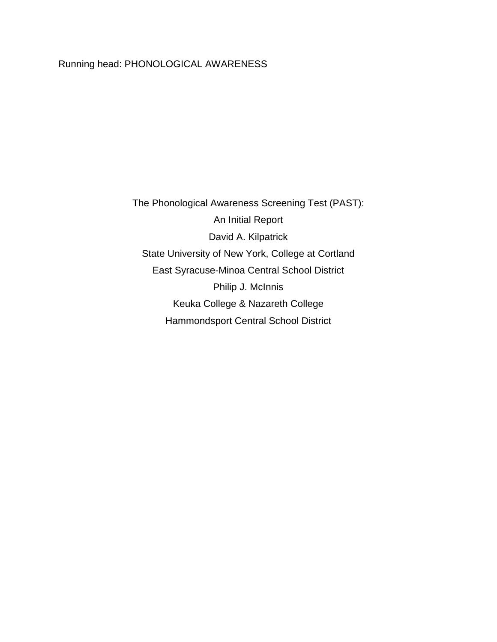## Running head: PHONOLOGICAL AWARENESS

The Phonological Awareness Screening Test (PAST): An Initial Report David A. Kilpatrick State University of New York, College at Cortland East Syracuse-Minoa Central School District Philip J. McInnis Keuka College & Nazareth College Hammondsport Central School District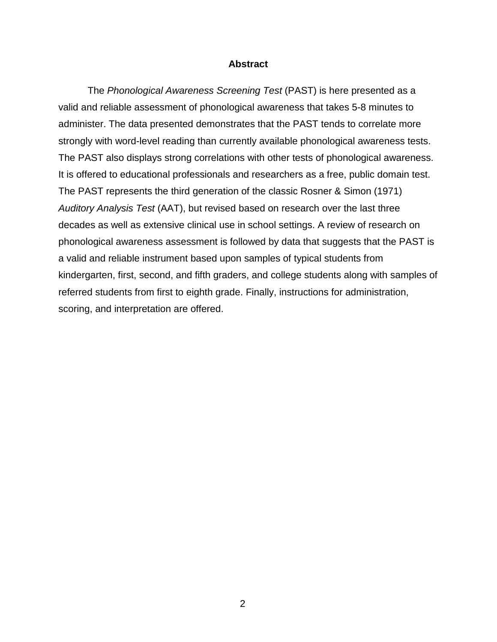#### **Abstract**

The *Phonological Awareness Screening Test* (PAST) is here presented as a valid and reliable assessment of phonological awareness that takes 5-8 minutes to administer. The data presented demonstrates that the PAST tends to correlate more strongly with word-level reading than currently available phonological awareness tests. The PAST also displays strong correlations with other tests of phonological awareness. It is offered to educational professionals and researchers as a free, public domain test. The PAST represents the third generation of the classic Rosner & Simon (1971) *Auditory Analysis Test* (AAT), but revised based on research over the last three decades as well as extensive clinical use in school settings. A review of research on phonological awareness assessment is followed by data that suggests that the PAST is a valid and reliable instrument based upon samples of typical students from kindergarten, first, second, and fifth graders, and college students along with samples of referred students from first to eighth grade. Finally, instructions for administration, scoring, and interpretation are offered.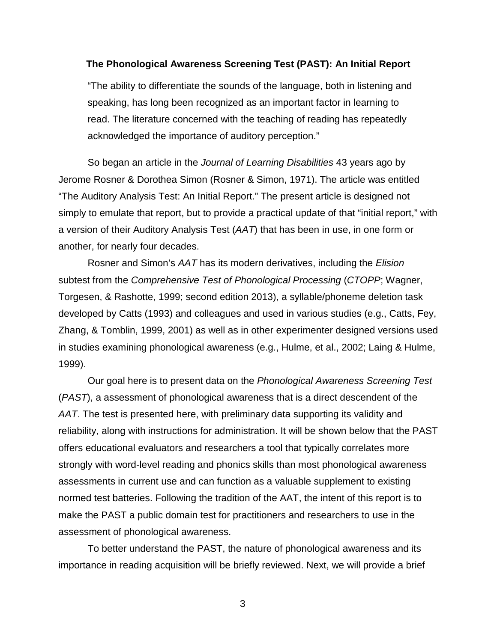#### **The Phonological Awareness Screening Test (PAST): An Initial Report**

"The ability to differentiate the sounds of the language, both in listening and speaking, has long been recognized as an important factor in learning to read. The literature concerned with the teaching of reading has repeatedly acknowledged the importance of auditory perception."

So began an article in the *Journal of Learning Disabilities* 43 years ago by Jerome Rosner & Dorothea Simon (Rosner & Simon, 1971). The article was entitled "The Auditory Analysis Test: An Initial Report." The present article is designed not simply to emulate that report, but to provide a practical update of that "initial report," with a version of their Auditory Analysis Test (*AAT*) that has been in use, in one form or another, for nearly four decades.

Rosner and Simon's *AAT* has its modern derivatives, including the *Elision* subtest from the *Comprehensive Test of Phonological Processing* (*CTOPP*; Wagner, Torgesen, & Rashotte, 1999; second edition 2013), a syllable/phoneme deletion task developed by Catts (1993) and colleagues and used in various studies (e.g., Catts, Fey, Zhang, & Tomblin, 1999, 2001) as well as in other experimenter designed versions used in studies examining phonological awareness (e.g., Hulme, et al., 2002; Laing & Hulme, 1999).

Our goal here is to present data on the *Phonological Awareness Screening Test* (*PAST*), a assessment of phonological awareness that is a direct descendent of the *AAT*. The test is presented here, with preliminary data supporting its validity and reliability, along with instructions for administration. It will be shown below that the PAST offers educational evaluators and researchers a tool that typically correlates more strongly with word-level reading and phonics skills than most phonological awareness assessments in current use and can function as a valuable supplement to existing normed test batteries. Following the tradition of the AAT, the intent of this report is to make the PAST a public domain test for practitioners and researchers to use in the assessment of phonological awareness.

To better understand the PAST, the nature of phonological awareness and its importance in reading acquisition will be briefly reviewed. Next, we will provide a brief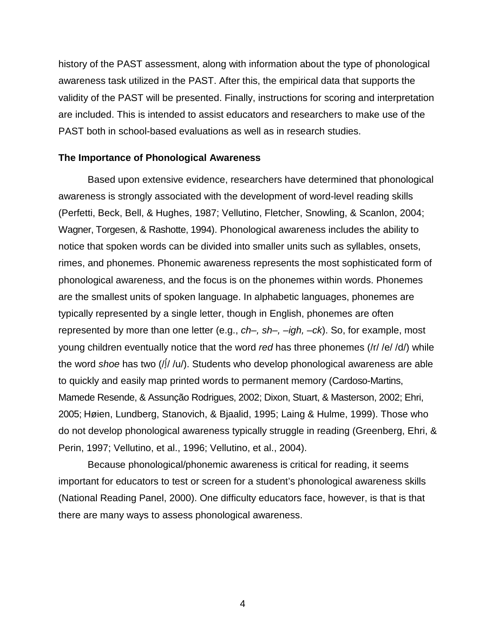history of the PAST assessment, along with information about the type of phonological awareness task utilized in the PAST. After this, the empirical data that supports the validity of the PAST will be presented. Finally, instructions for scoring and interpretation are included. This is intended to assist educators and researchers to make use of the PAST both in school-based evaluations as well as in research studies.

## **The Importance of Phonological Awareness**

Based upon extensive evidence, researchers have determined that phonological awareness is strongly associated with the development of word-level reading skills (Perfetti, Beck, Bell, & Hughes, 1987; Vellutino, Fletcher, Snowling, & Scanlon, 2004; Wagner, Torgesen, & Rashotte, 1994). Phonological awareness includes the ability to notice that spoken words can be divided into smaller units such as syllables, onsets, rimes, and phonemes. Phonemic awareness represents the most sophisticated form of phonological awareness, and the focus is on the phonemes within words. Phonemes are the smallest units of spoken language. In alphabetic languages, phonemes are typically represented by a single letter, though in English, phonemes are often represented by more than one letter (e.g., *ch–, sh–, –igh, –ck*). So, for example, most young children eventually notice that the word *red* has three phonemes (/r/ /e/ /d/) while the word *shoe* has two (/∫/ /u/). Students who develop phonological awareness are able to quickly and easily map printed words to permanent memory (Cardoso-Martins, Mamede Resende, & Assunção Rodrigues, 2002; Dixon, Stuart, & Masterson, 2002; Ehri, 2005; Høien, Lundberg, Stanovich, & Bjaalid, 1995; Laing & Hulme, 1999). Those who do not develop phonological awareness typically struggle in reading (Greenberg, Ehri, & Perin, 1997; Vellutino, et al., 1996; Vellutino, et al., 2004).

Because phonological/phonemic awareness is critical for reading, it seems important for educators to test or screen for a student's phonological awareness skills (National Reading Panel, 2000). One difficulty educators face, however, is that is that there are many ways to assess phonological awareness.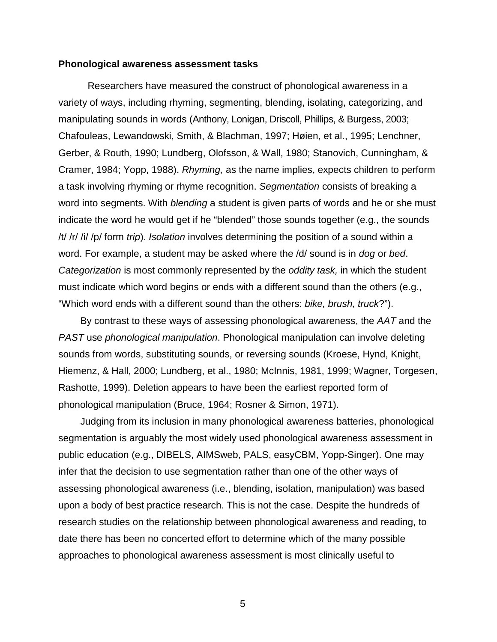#### **Phonological awareness assessment tasks**

Researchers have measured the construct of phonological awareness in a variety of ways, including rhyming, segmenting, blending, isolating, categorizing, and manipulating sounds in words (Anthony, Lonigan, Driscoll, Phillips, & Burgess, 2003; Chafouleas, Lewandowski, Smith, & Blachman, 1997; Høien, et al., 1995; Lenchner, Gerber, & Routh, 1990; Lundberg, Olofsson, & Wall, 1980; Stanovich, Cunningham, & Cramer, 1984; Yopp, 1988). *Rhyming,* as the name implies, expects children to perform a task involving rhyming or rhyme recognition. *Segmentation* consists of breaking a word into segments. With *blending* a student is given parts of words and he or she must indicate the word he would get if he "blended" those sounds together (e.g., the sounds /t/ /r/ /i/ /p/ form *trip*). *Isolation* involves determining the position of a sound within a word. For example, a student may be asked where the /d/ sound is in *dog* or *bed*. *Categorization* is most commonly represented by the *oddity task,* in which the student must indicate which word begins or ends with a different sound than the others (e.g., "Which word ends with a different sound than the others: *bike, brush, truck*?").

By contrast to these ways of assessing phonological awareness, the *AAT* and the *PAST* use *phonological manipulation*. Phonological manipulation can involve deleting sounds from words, substituting sounds, or reversing sounds (Kroese, Hynd, Knight, Hiemenz, & Hall, 2000; Lundberg, et al., 1980; McInnis, 1981, 1999; Wagner, Torgesen, Rashotte, 1999). Deletion appears to have been the earliest reported form of phonological manipulation (Bruce, 1964; Rosner & Simon, 1971).

Judging from its inclusion in many phonological awareness batteries, phonological segmentation is arguably the most widely used phonological awareness assessment in public education (e.g., DIBELS, AIMSweb, PALS, easyCBM, Yopp-Singer). One may infer that the decision to use segmentation rather than one of the other ways of assessing phonological awareness (i.e., blending, isolation, manipulation) was based upon a body of best practice research. This is not the case. Despite the hundreds of research studies on the relationship between phonological awareness and reading, to date there has been no concerted effort to determine which of the many possible approaches to phonological awareness assessment is most clinically useful to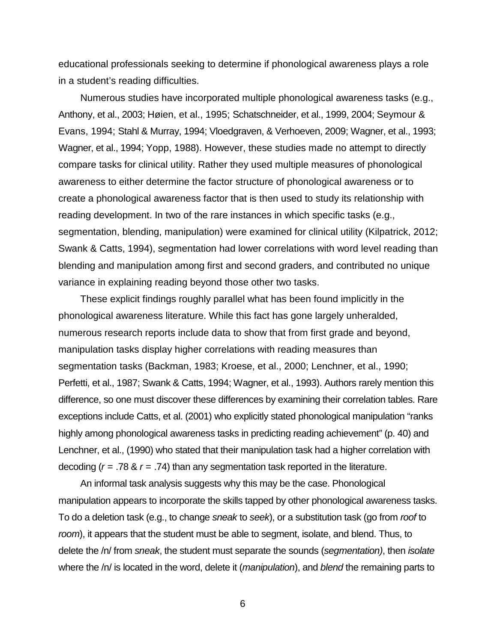educational professionals seeking to determine if phonological awareness plays a role in a student's reading difficulties.

Numerous studies have incorporated multiple phonological awareness tasks (e.g., Anthony, et al., 2003; Høien, et al., 1995; Schatschneider, et al., 1999, 2004; Seymour & Evans, 1994; Stahl & Murray, 1994; Vloedgraven, & Verhoeven, 2009; Wagner, et al., 1993; Wagner, et al., 1994; Yopp, 1988). However, these studies made no attempt to directly compare tasks for clinical utility. Rather they used multiple measures of phonological awareness to either determine the factor structure of phonological awareness or to create a phonological awareness factor that is then used to study its relationship with reading development. In two of the rare instances in which specific tasks (e.g., segmentation, blending, manipulation) were examined for clinical utility (Kilpatrick, 2012; Swank & Catts, 1994), segmentation had lower correlations with word level reading than blending and manipulation among first and second graders, and contributed no unique variance in explaining reading beyond those other two tasks.

These explicit findings roughly parallel what has been found implicitly in the phonological awareness literature. While this fact has gone largely unheralded, numerous research reports include data to show that from first grade and beyond, manipulation tasks display higher correlations with reading measures than segmentation tasks (Backman, 1983; Kroese, et al., 2000; Lenchner, et al., 1990; Perfetti, et al., 1987; Swank & Catts, 1994; Wagner, et al., 1993). Authors rarely mention this difference, so one must discover these differences by examining their correlation tables. Rare exceptions include Catts, et al. (2001) who explicitly stated phonological manipulation "ranks highly among phonological awareness tasks in predicting reading achievement" (p. 40) and Lenchner, et al., (1990) who stated that their manipulation task had a higher correlation with decoding (*r* = .78 & *r* = .74) than any segmentation task reported in the literature.

An informal task analysis suggests why this may be the case. Phonological manipulation appears to incorporate the skills tapped by other phonological awareness tasks. To do a deletion task (e.g., to change *sneak* to *seek*), or a substitution task (go from *roof* to *room*), it appears that the student must be able to segment, isolate, and blend. Thus, to delete the /n/ from *sneak*, the student must separate the sounds (*segmentation)*, then *isolate* where the /n/ is located in the word, delete it (*manipulation*), and *blend* the remaining parts to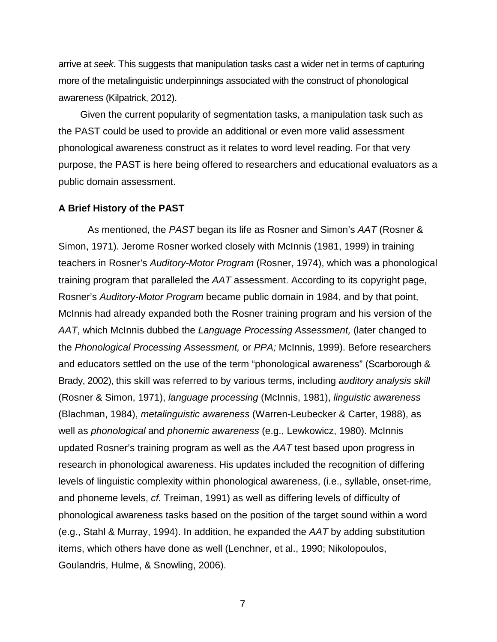arrive at *seek.* This suggests that manipulation tasks cast a wider net in terms of capturing more of the metalinguistic underpinnings associated with the construct of phonological awareness (Kilpatrick, 2012).

Given the current popularity of segmentation tasks, a manipulation task such as the PAST could be used to provide an additional or even more valid assessment phonological awareness construct as it relates to word level reading. For that very purpose, the PAST is here being offered to researchers and educational evaluators as a public domain assessment.

#### **A Brief History of the PAST**

As mentioned, the *PAST* began its life as Rosner and Simon's *AAT* (Rosner & Simon, 1971). Jerome Rosner worked closely with McInnis (1981, 1999) in training teachers in Rosner's *Auditory-Motor Program* (Rosner, 1974), which was a phonological training program that paralleled the *AAT* assessment. According to its copyright page, Rosner's *Auditory-Motor Program* became public domain in 1984, and by that point, McInnis had already expanded both the Rosner training program and his version of the *AAT*, which McInnis dubbed the *Language Processing Assessment,* (later changed to the *Phonological Processing Assessment,* or *PPA;* McInnis, 1999). Before researchers and educators settled on the use of the term "phonological awareness" (Scarborough & Brady, 2002), this skill was referred to by various terms, including *auditory analysis skill* (Rosner & Simon, 1971), *language processing* (McInnis, 1981), *linguistic awareness* (Blachman, 1984), *metalinguistic awareness* (Warren-Leubecker & Carter, 1988), as well as *phonological* and *phonemic awareness* (e.g., Lewkowicz, 1980). McInnis updated Rosner's training program as well as the *AAT* test based upon progress in research in phonological awareness. His updates included the recognition of differing levels of linguistic complexity within phonological awareness, (i.e., syllable, onset-rime, and phoneme levels, *cf.* Treiman, 1991) as well as differing levels of difficulty of phonological awareness tasks based on the position of the target sound within a word (e.g., Stahl & Murray, 1994). In addition, he expanded the *AAT* by adding substitution items, which others have done as well (Lenchner, et al., 1990; Nikolopoulos, Goulandris, Hulme, & Snowling, 2006).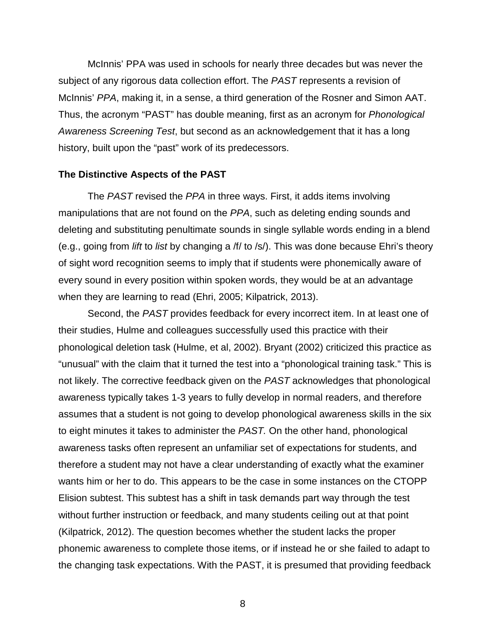McInnis' PPA was used in schools for nearly three decades but was never the subject of any rigorous data collection effort. The *PAST* represents a revision of McInnis' *PPA*, making it, in a sense, a third generation of the Rosner and Simon AAT. Thus, the acronym "PAST" has double meaning, first as an acronym for *Phonological Awareness Screening Test*, but second as an acknowledgement that it has a long history, built upon the "past" work of its predecessors.

#### **The Distinctive Aspects of the PAST**

The *PAST* revised the *PPA* in three ways. First, it adds items involving manipulations that are not found on the *PPA*, such as deleting ending sounds and deleting and substituting penultimate sounds in single syllable words ending in a blend (e.g., going from *lift* to *list* by changing a /f/ to /s/). This was done because Ehri's theory of sight word recognition seems to imply that if students were phonemically aware of every sound in every position within spoken words, they would be at an advantage when they are learning to read (Ehri, 2005; Kilpatrick, 2013).

Second, the *PAST* provides feedback for every incorrect item. In at least one of their studies, Hulme and colleagues successfully used this practice with their phonological deletion task (Hulme, et al, 2002). Bryant (2002) criticized this practice as "unusual" with the claim that it turned the test into a "phonological training task." This is not likely. The corrective feedback given on the *PAST* acknowledges that phonological awareness typically takes 1-3 years to fully develop in normal readers, and therefore assumes that a student is not going to develop phonological awareness skills in the six to eight minutes it takes to administer the *PAST.* On the other hand, phonological awareness tasks often represent an unfamiliar set of expectations for students, and therefore a student may not have a clear understanding of exactly what the examiner wants him or her to do. This appears to be the case in some instances on the CTOPP Elision subtest. This subtest has a shift in task demands part way through the test without further instruction or feedback, and many students ceiling out at that point (Kilpatrick, 2012). The question becomes whether the student lacks the proper phonemic awareness to complete those items, or if instead he or she failed to adapt to the changing task expectations. With the PAST, it is presumed that providing feedback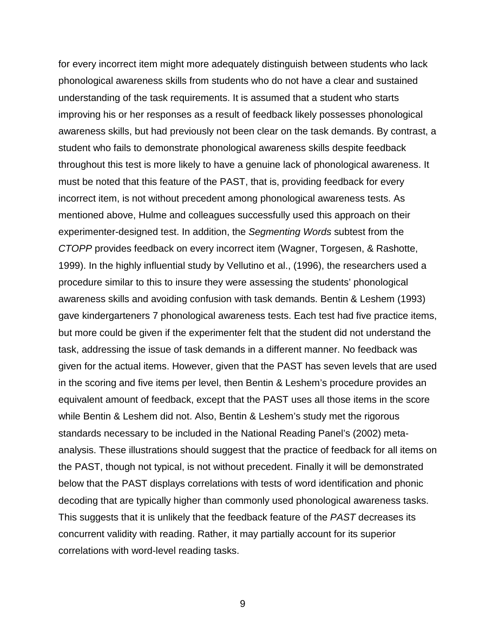for every incorrect item might more adequately distinguish between students who lack phonological awareness skills from students who do not have a clear and sustained understanding of the task requirements. It is assumed that a student who starts improving his or her responses as a result of feedback likely possesses phonological awareness skills, but had previously not been clear on the task demands. By contrast, a student who fails to demonstrate phonological awareness skills despite feedback throughout this test is more likely to have a genuine lack of phonological awareness. It must be noted that this feature of the PAST, that is, providing feedback for every incorrect item, is not without precedent among phonological awareness tests. As mentioned above, Hulme and colleagues successfully used this approach on their experimenter-designed test. In addition, the *Segmenting Words* subtest from the *CTOPP* provides feedback on every incorrect item (Wagner, Torgesen, & Rashotte, 1999). In the highly influential study by Vellutino et al., (1996), the researchers used a procedure similar to this to insure they were assessing the students' phonological awareness skills and avoiding confusion with task demands. Bentin & Leshem (1993) gave kindergarteners 7 phonological awareness tests. Each test had five practice items, but more could be given if the experimenter felt that the student did not understand the task, addressing the issue of task demands in a different manner. No feedback was given for the actual items. However, given that the PAST has seven levels that are used in the scoring and five items per level, then Bentin & Leshem's procedure provides an equivalent amount of feedback, except that the PAST uses all those items in the score while Bentin & Leshem did not. Also, Bentin & Leshem's study met the rigorous standards necessary to be included in the National Reading Panel's (2002) metaanalysis. These illustrations should suggest that the practice of feedback for all items on the PAST, though not typical, is not without precedent. Finally it will be demonstrated below that the PAST displays correlations with tests of word identification and phonic decoding that are typically higher than commonly used phonological awareness tasks. This suggests that it is unlikely that the feedback feature of the *PAST* decreases its concurrent validity with reading. Rather, it may partially account for its superior correlations with word-level reading tasks.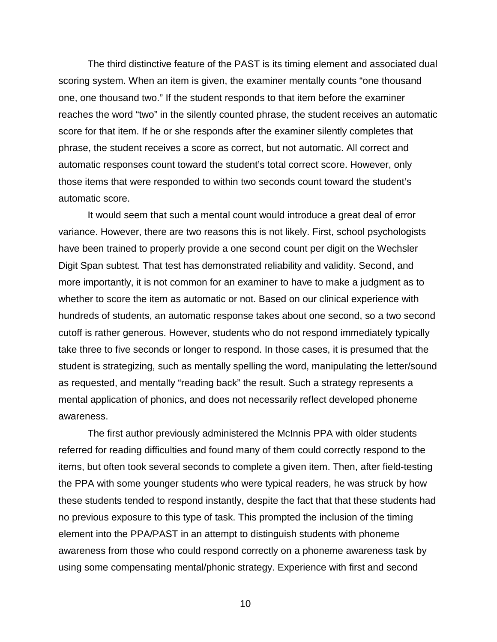The third distinctive feature of the PAST is its timing element and associated dual scoring system. When an item is given, the examiner mentally counts "one thousand one, one thousand two." If the student responds to that item before the examiner reaches the word "two" in the silently counted phrase, the student receives an automatic score for that item. If he or she responds after the examiner silently completes that phrase, the student receives a score as correct, but not automatic. All correct and automatic responses count toward the student's total correct score. However, only those items that were responded to within two seconds count toward the student's automatic score.

It would seem that such a mental count would introduce a great deal of error variance. However, there are two reasons this is not likely. First, school psychologists have been trained to properly provide a one second count per digit on the Wechsler Digit Span subtest. That test has demonstrated reliability and validity. Second, and more importantly, it is not common for an examiner to have to make a judgment as to whether to score the item as automatic or not. Based on our clinical experience with hundreds of students, an automatic response takes about one second, so a two second cutoff is rather generous. However, students who do not respond immediately typically take three to five seconds or longer to respond. In those cases, it is presumed that the student is strategizing, such as mentally spelling the word, manipulating the letter/sound as requested, and mentally "reading back" the result. Such a strategy represents a mental application of phonics, and does not necessarily reflect developed phoneme awareness.

The first author previously administered the McInnis PPA with older students referred for reading difficulties and found many of them could correctly respond to the items, but often took several seconds to complete a given item. Then, after field-testing the PPA with some younger students who were typical readers, he was struck by how these students tended to respond instantly, despite the fact that that these students had no previous exposure to this type of task. This prompted the inclusion of the timing element into the PPA/PAST in an attempt to distinguish students with phoneme awareness from those who could respond correctly on a phoneme awareness task by using some compensating mental/phonic strategy. Experience with first and second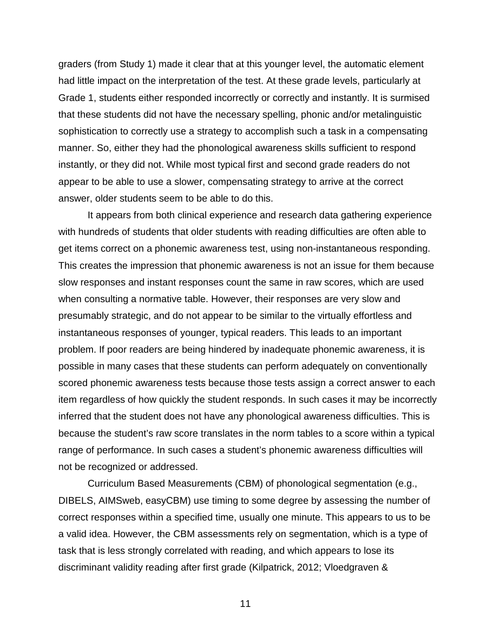graders (from Study 1) made it clear that at this younger level, the automatic element had little impact on the interpretation of the test. At these grade levels, particularly at Grade 1, students either responded incorrectly or correctly and instantly. It is surmised that these students did not have the necessary spelling, phonic and/or metalinguistic sophistication to correctly use a strategy to accomplish such a task in a compensating manner. So, either they had the phonological awareness skills sufficient to respond instantly, or they did not. While most typical first and second grade readers do not appear to be able to use a slower, compensating strategy to arrive at the correct answer, older students seem to be able to do this.

It appears from both clinical experience and research data gathering experience with hundreds of students that older students with reading difficulties are often able to get items correct on a phonemic awareness test, using non-instantaneous responding. This creates the impression that phonemic awareness is not an issue for them because slow responses and instant responses count the same in raw scores, which are used when consulting a normative table. However, their responses are very slow and presumably strategic, and do not appear to be similar to the virtually effortless and instantaneous responses of younger, typical readers. This leads to an important problem. If poor readers are being hindered by inadequate phonemic awareness, it is possible in many cases that these students can perform adequately on conventionally scored phonemic awareness tests because those tests assign a correct answer to each item regardless of how quickly the student responds. In such cases it may be incorrectly inferred that the student does not have any phonological awareness difficulties. This is because the student's raw score translates in the norm tables to a score within a typical range of performance. In such cases a student's phonemic awareness difficulties will not be recognized or addressed.

Curriculum Based Measurements (CBM) of phonological segmentation (e.g., DIBELS, AIMSweb, easyCBM) use timing to some degree by assessing the number of correct responses within a specified time, usually one minute. This appears to us to be a valid idea. However, the CBM assessments rely on segmentation, which is a type of task that is less strongly correlated with reading, and which appears to lose its discriminant validity reading after first grade (Kilpatrick, 2012; Vloedgraven &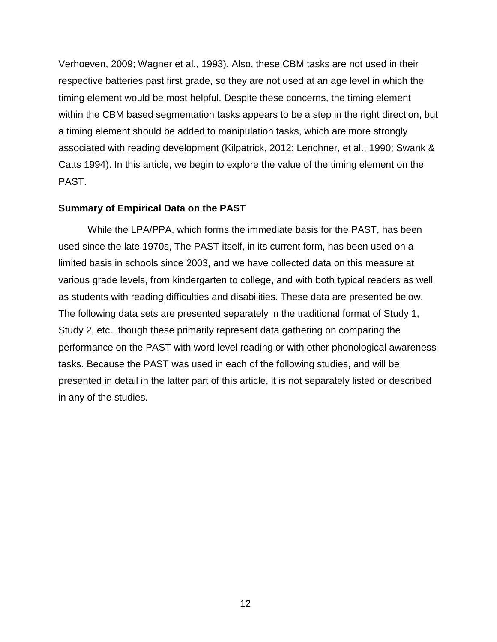Verhoeven, 2009; Wagner et al., 1993). Also, these CBM tasks are not used in their respective batteries past first grade, so they are not used at an age level in which the timing element would be most helpful. Despite these concerns, the timing element within the CBM based segmentation tasks appears to be a step in the right direction, but a timing element should be added to manipulation tasks, which are more strongly associated with reading development (Kilpatrick, 2012; Lenchner, et al., 1990; Swank & Catts 1994). In this article, we begin to explore the value of the timing element on the PAST.

## **Summary of Empirical Data on the PAST**

While the LPA/PPA, which forms the immediate basis for the PAST, has been used since the late 1970s, The PAST itself, in its current form, has been used on a limited basis in schools since 2003, and we have collected data on this measure at various grade levels, from kindergarten to college, and with both typical readers as well as students with reading difficulties and disabilities. These data are presented below. The following data sets are presented separately in the traditional format of Study 1, Study 2, etc., though these primarily represent data gathering on comparing the performance on the PAST with word level reading or with other phonological awareness tasks. Because the PAST was used in each of the following studies, and will be presented in detail in the latter part of this article, it is not separately listed or described in any of the studies.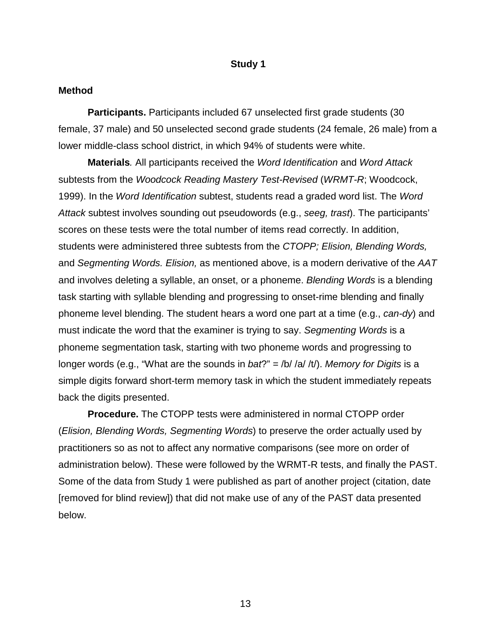#### **Study 1**

#### **Method**

**Participants.** Participants included 67 unselected first grade students (30 female, 37 male) and 50 unselected second grade students (24 female, 26 male) from a lower middle-class school district, in which 94% of students were white.

**Materials***.* All participants received the *Word Identification* and *Word Attack* subtests from the *Woodcock Reading Mastery Test-Revised* (*WRMT-R*; Woodcock, 1999). In the *Word Identification* subtest, students read a graded word list. The *Word Attack* subtest involves sounding out pseudowords (e.g., *seeg, trast*). The participants' scores on these tests were the total number of items read correctly. In addition, students were administered three subtests from the *CTOPP; Elision, Blending Words,* and *Segmenting Words. Elision,* as mentioned above, is a modern derivative of the *AAT* and involves deleting a syllable, an onset, or a phoneme. *Blending Words* is a blending task starting with syllable blending and progressing to onset-rime blending and finally phoneme level blending. The student hears a word one part at a time (e.g., *can-dy*) and must indicate the word that the examiner is trying to say. *Segmenting Words* is a phoneme segmentation task, starting with two phoneme words and progressing to longer words (e.g., "What are the sounds in *bat*?" = /b/ /a/ /t/). *Memory for Digits* is a simple digits forward short-term memory task in which the student immediately repeats back the digits presented.

**Procedure.** The CTOPP tests were administered in normal CTOPP order (*Elision, Blending Words, Segmenting Words*) to preserve the order actually used by practitioners so as not to affect any normative comparisons (see more on order of administration below). These were followed by the WRMT-R tests, and finally the PAST. Some of the data from Study 1 were published as part of another project (citation, date [removed for blind review]) that did not make use of any of the PAST data presented below.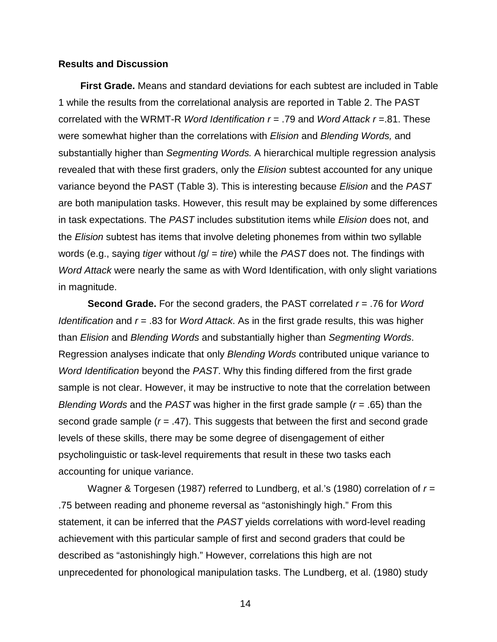#### **Results and Discussion**

**First Grade.** Means and standard deviations for each subtest are included in Table 1 while the results from the correlational analysis are reported in Table 2. The PAST correlated with the WRMT-R *Word Identification r* = .79 and *Word Attack r* =.81. These were somewhat higher than the correlations with *Elision* and *Blending Words,* and substantially higher than *Segmenting Words.* A hierarchical multiple regression analysis revealed that with these first graders, only the *Elision* subtest accounted for any unique variance beyond the PAST (Table 3). This is interesting because *Elision* and the *PAST* are both manipulation tasks. However, this result may be explained by some differences in task expectations. The *PAST* includes substitution items while *Elision* does not, and the *Elision* subtest has items that involve deleting phonemes from within two syllable words (e.g., saying *tiger* without /g/ = *tire*) while the *PAST* does not. The findings with *Word Attack* were nearly the same as with Word Identification, with only slight variations in magnitude.

**Second Grade.** For the second graders, the PAST correlated *r* = .76 for *Word Identification* and *r* = .83 for *Word Attack*. As in the first grade results, this was higher than *Elision* and *Blending Words* and substantially higher than *Segmenting Words*. Regression analyses indicate that only *Blending Words* contributed unique variance to *Word Identification* beyond the *PAST*. Why this finding differed from the first grade sample is not clear. However, it may be instructive to note that the correlation between *Blending Words* and the *PAST* was higher in the first grade sample (*r* = .65) than the second grade sample (*r* = .47). This suggests that between the first and second grade levels of these skills, there may be some degree of disengagement of either psycholinguistic or task-level requirements that result in these two tasks each accounting for unique variance.

Wagner & Torgesen (1987) referred to Lundberg, et al.'s (1980) correlation of *r* = .75 between reading and phoneme reversal as "astonishingly high." From this statement, it can be inferred that the *PAST* yields correlations with word-level reading achievement with this particular sample of first and second graders that could be described as "astonishingly high." However, correlations this high are not unprecedented for phonological manipulation tasks. The Lundberg, et al. (1980) study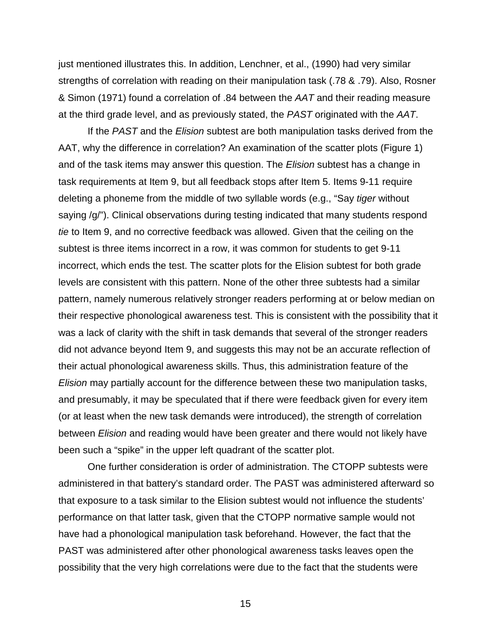just mentioned illustrates this. In addition, Lenchner, et al., (1990) had very similar strengths of correlation with reading on their manipulation task (.78 & .79). Also, Rosner & Simon (1971) found a correlation of .84 between the *AAT* and their reading measure at the third grade level, and as previously stated, the *PAST* originated with the *AAT*.

If the *PAST* and the *Elision* subtest are both manipulation tasks derived from the AAT, why the difference in correlation? An examination of the scatter plots (Figure 1) and of the task items may answer this question. The *Elision* subtest has a change in task requirements at Item 9, but all feedback stops after Item 5. Items 9-11 require deleting a phoneme from the middle of two syllable words (e.g., "Say *tiger* without saying /g/"). Clinical observations during testing indicated that many students respond *tie* to Item 9, and no corrective feedback was allowed. Given that the ceiling on the subtest is three items incorrect in a row, it was common for students to get 9-11 incorrect, which ends the test. The scatter plots for the Elision subtest for both grade levels are consistent with this pattern. None of the other three subtests had a similar pattern, namely numerous relatively stronger readers performing at or below median on their respective phonological awareness test. This is consistent with the possibility that it was a lack of clarity with the shift in task demands that several of the stronger readers did not advance beyond Item 9, and suggests this may not be an accurate reflection of their actual phonological awareness skills. Thus, this administration feature of the *Elision* may partially account for the difference between these two manipulation tasks, and presumably, it may be speculated that if there were feedback given for every item (or at least when the new task demands were introduced), the strength of correlation between *Elision* and reading would have been greater and there would not likely have been such a "spike" in the upper left quadrant of the scatter plot.

One further consideration is order of administration. The CTOPP subtests were administered in that battery's standard order. The PAST was administered afterward so that exposure to a task similar to the Elision subtest would not influence the students' performance on that latter task, given that the CTOPP normative sample would not have had a phonological manipulation task beforehand. However, the fact that the PAST was administered after other phonological awareness tasks leaves open the possibility that the very high correlations were due to the fact that the students were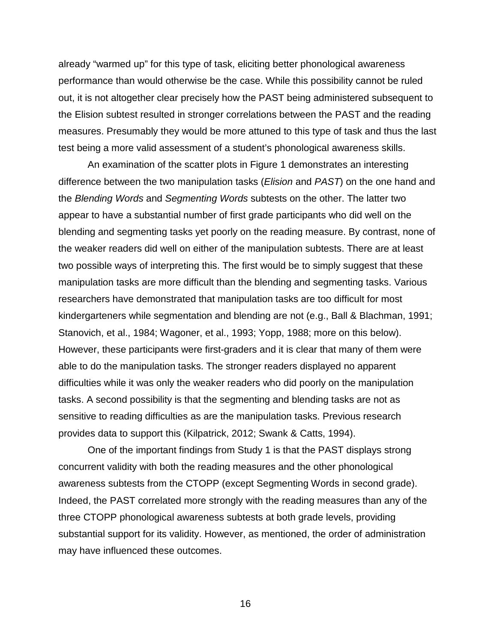already "warmed up" for this type of task, eliciting better phonological awareness performance than would otherwise be the case. While this possibility cannot be ruled out, it is not altogether clear precisely how the PAST being administered subsequent to the Elision subtest resulted in stronger correlations between the PAST and the reading measures. Presumably they would be more attuned to this type of task and thus the last test being a more valid assessment of a student's phonological awareness skills.

An examination of the scatter plots in Figure 1 demonstrates an interesting difference between the two manipulation tasks (*Elision* and *PAST*) on the one hand and the *Blending Words* and *Segmenting Words* subtests on the other. The latter two appear to have a substantial number of first grade participants who did well on the blending and segmenting tasks yet poorly on the reading measure. By contrast, none of the weaker readers did well on either of the manipulation subtests. There are at least two possible ways of interpreting this. The first would be to simply suggest that these manipulation tasks are more difficult than the blending and segmenting tasks. Various researchers have demonstrated that manipulation tasks are too difficult for most kindergarteners while segmentation and blending are not (e.g., Ball & Blachman, 1991; Stanovich, et al., 1984; Wagoner, et al., 1993; Yopp, 1988; more on this below). However, these participants were first-graders and it is clear that many of them were able to do the manipulation tasks. The stronger readers displayed no apparent difficulties while it was only the weaker readers who did poorly on the manipulation tasks. A second possibility is that the segmenting and blending tasks are not as sensitive to reading difficulties as are the manipulation tasks. Previous research provides data to support this (Kilpatrick, 2012; Swank & Catts, 1994).

One of the important findings from Study 1 is that the PAST displays strong concurrent validity with both the reading measures and the other phonological awareness subtests from the CTOPP (except Segmenting Words in second grade). Indeed, the PAST correlated more strongly with the reading measures than any of the three CTOPP phonological awareness subtests at both grade levels, providing substantial support for its validity. However, as mentioned, the order of administration may have influenced these outcomes.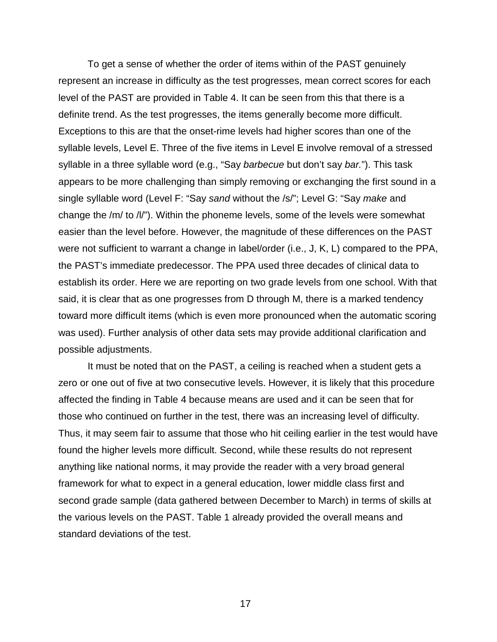To get a sense of whether the order of items within of the PAST genuinely represent an increase in difficulty as the test progresses, mean correct scores for each level of the PAST are provided in Table 4. It can be seen from this that there is a definite trend. As the test progresses, the items generally become more difficult. Exceptions to this are that the onset-rime levels had higher scores than one of the syllable levels, Level E. Three of the five items in Level E involve removal of a stressed syllable in a three syllable word (e.g., "Say *barbecue* but don't say *bar.*"). This task appears to be more challenging than simply removing or exchanging the first sound in a single syllable word (Level F: "Say *sand* without the /s/"; Level G: "Say *make* and change the /m/ to /l/"). Within the phoneme levels, some of the levels were somewhat easier than the level before. However, the magnitude of these differences on the PAST were not sufficient to warrant a change in label/order (i.e., J, K, L) compared to the PPA, the PAST's immediate predecessor. The PPA used three decades of clinical data to establish its order. Here we are reporting on two grade levels from one school. With that said, it is clear that as one progresses from D through M, there is a marked tendency toward more difficult items (which is even more pronounced when the automatic scoring was used). Further analysis of other data sets may provide additional clarification and possible adjustments.

It must be noted that on the PAST, a ceiling is reached when a student gets a zero or one out of five at two consecutive levels. However, it is likely that this procedure affected the finding in Table 4 because means are used and it can be seen that for those who continued on further in the test, there was an increasing level of difficulty. Thus, it may seem fair to assume that those who hit ceiling earlier in the test would have found the higher levels more difficult. Second, while these results do not represent anything like national norms, it may provide the reader with a very broad general framework for what to expect in a general education, lower middle class first and second grade sample (data gathered between December to March) in terms of skills at the various levels on the PAST. Table 1 already provided the overall means and standard deviations of the test.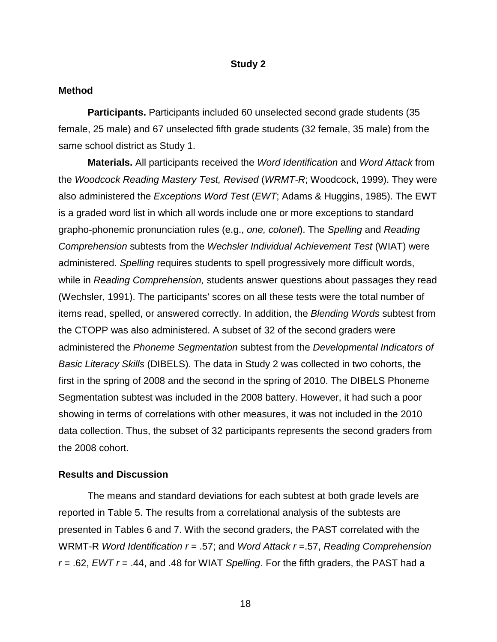#### **Study 2**

#### **Method**

**Participants.** Participants included 60 unselected second grade students (35 female, 25 male) and 67 unselected fifth grade students (32 female, 35 male) from the same school district as Study 1.

**Materials.** All participants received the *Word Identification* and *Word Attack* from the *Woodcock Reading Mastery Test, Revised* (*WRMT-R*; Woodcock, 1999). They were also administered the *Exceptions Word Test* (*EWT*; Adams & Huggins, 1985). The EWT is a graded word list in which all words include one or more exceptions to standard grapho-phonemic pronunciation rules (e.g., *one, colonel*). The *Spelling* and *Reading Comprehension* subtests from the *Wechsler Individual Achievement Test* (WIAT) were administered. *Spelling* requires students to spell progressively more difficult words, while in *Reading Comprehension,* students answer questions about passages they read (Wechsler, 1991). The participants' scores on all these tests were the total number of items read, spelled, or answered correctly. In addition, the *Blending Words* subtest from the CTOPP was also administered. A subset of 32 of the second graders were administered the *Phoneme Segmentation* subtest from the *Developmental Indicators of Basic Literacy Skills* (DIBELS). The data in Study 2 was collected in two cohorts, the first in the spring of 2008 and the second in the spring of 2010. The DIBELS Phoneme Segmentation subtest was included in the 2008 battery. However, it had such a poor showing in terms of correlations with other measures, it was not included in the 2010 data collection. Thus, the subset of 32 participants represents the second graders from the 2008 cohort.

#### **Results and Discussion**

The means and standard deviations for each subtest at both grade levels are reported in Table 5. The results from a correlational analysis of the subtests are presented in Tables 6 and 7. With the second graders, the PAST correlated with the WRMT-R *Word Identification r* = .57; and *Word Attack r* =.57, *Reading Comprehension r* = .62, *EWT r* = .44, and .48 for WIAT *Spelling*. For the fifth graders, the PAST had a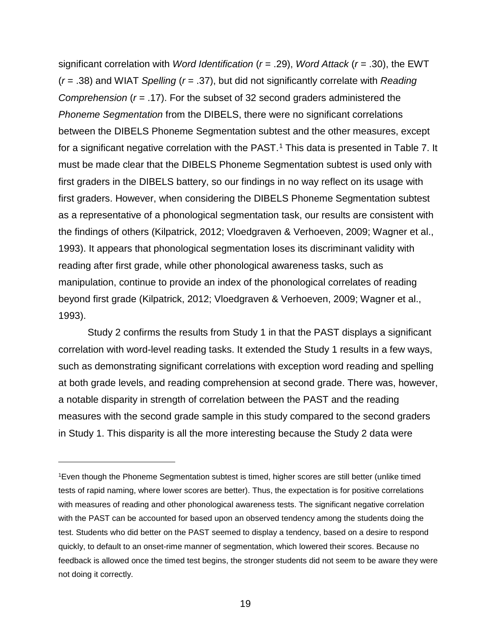significant correlation with *Word Identification* (*r* = .29), *Word Attack* (*r* = .30), the EWT (*r* = .38) and WIAT *Spelling* (*r* = .37), but did not significantly correlate with *Reading Comprehension* (*r* = .17). For the subset of 32 second graders administered the *Phoneme Segmentation* from the DIBELS, there were no significant correlations between the DIBELS Phoneme Segmentation subtest and the other measures, except for a significant negative correlation with the PAST.<sup>[1](#page-18-0)</sup> This data is presented in Table 7. It must be made clear that the DIBELS Phoneme Segmentation subtest is used only with first graders in the DIBELS battery, so our findings in no way reflect on its usage with first graders. However, when considering the DIBELS Phoneme Segmentation subtest as a representative of a phonological segmentation task, our results are consistent with the findings of others (Kilpatrick, 2012; Vloedgraven & Verhoeven, 2009; Wagner et al., 1993). It appears that phonological segmentation loses its discriminant validity with reading after first grade, while other phonological awareness tasks, such as manipulation, continue to provide an index of the phonological correlates of reading beyond first grade (Kilpatrick, 2012; Vloedgraven & Verhoeven, 2009; Wagner et al., 1993).

Study 2 confirms the results from Study 1 in that the PAST displays a significant correlation with word-level reading tasks. It extended the Study 1 results in a few ways, such as demonstrating significant correlations with exception word reading and spelling at both grade levels, and reading comprehension at second grade. There was, however, a notable disparity in strength of correlation between the PAST and the reading measures with the second grade sample in this study compared to the second graders in Study 1. This disparity is all the more interesting because the Study 2 data were

 $\overline{a}$ 

<span id="page-18-0"></span><sup>1</sup>Even though the Phoneme Segmentation subtest is timed, higher scores are still better (unlike timed tests of rapid naming, where lower scores are better). Thus, the expectation is for positive correlations with measures of reading and other phonological awareness tests. The significant negative correlation with the PAST can be accounted for based upon an observed tendency among the students doing the test. Students who did better on the PAST seemed to display a tendency, based on a desire to respond quickly, to default to an onset-rime manner of segmentation, which lowered their scores. Because no feedback is allowed once the timed test begins, the stronger students did not seem to be aware they were not doing it correctly.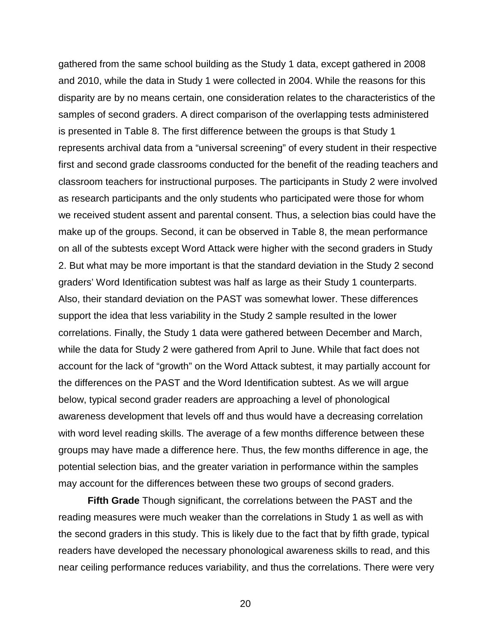gathered from the same school building as the Study 1 data, except gathered in 2008 and 2010, while the data in Study 1 were collected in 2004. While the reasons for this disparity are by no means certain, one consideration relates to the characteristics of the samples of second graders. A direct comparison of the overlapping tests administered is presented in Table 8. The first difference between the groups is that Study 1 represents archival data from a "universal screening" of every student in their respective first and second grade classrooms conducted for the benefit of the reading teachers and classroom teachers for instructional purposes. The participants in Study 2 were involved as research participants and the only students who participated were those for whom we received student assent and parental consent. Thus, a selection bias could have the make up of the groups. Second, it can be observed in Table 8, the mean performance on all of the subtests except Word Attack were higher with the second graders in Study 2. But what may be more important is that the standard deviation in the Study 2 second graders' Word Identification subtest was half as large as their Study 1 counterparts. Also, their standard deviation on the PAST was somewhat lower. These differences support the idea that less variability in the Study 2 sample resulted in the lower correlations. Finally, the Study 1 data were gathered between December and March, while the data for Study 2 were gathered from April to June. While that fact does not account for the lack of "growth" on the Word Attack subtest, it may partially account for the differences on the PAST and the Word Identification subtest. As we will argue below, typical second grader readers are approaching a level of phonological awareness development that levels off and thus would have a decreasing correlation with word level reading skills. The average of a few months difference between these groups may have made a difference here. Thus, the few months difference in age, the potential selection bias, and the greater variation in performance within the samples may account for the differences between these two groups of second graders.

**Fifth Grade** Though significant, the correlations between the PAST and the reading measures were much weaker than the correlations in Study 1 as well as with the second graders in this study. This is likely due to the fact that by fifth grade, typical readers have developed the necessary phonological awareness skills to read, and this near ceiling performance reduces variability, and thus the correlations. There were very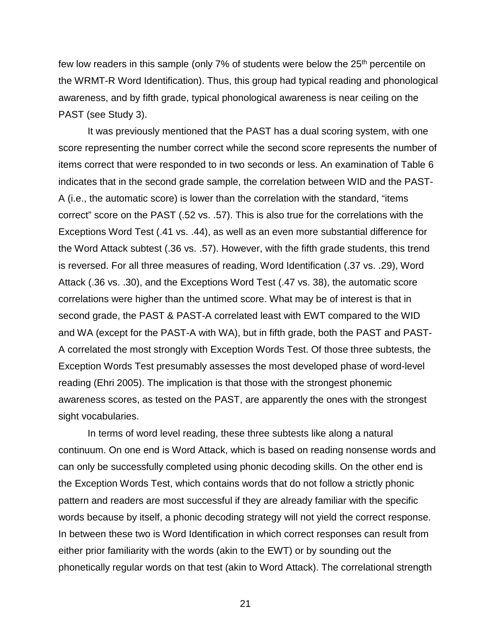few low readers in this sample (only 7% of students were below the 25<sup>th</sup> percentile on the WRMT-R Word Identification). Thus, this group had typical reading and phonological awareness, and by fifth grade, typical phonological awareness is near ceiling on the PAST (see Study 3).

It was previously mentioned that the PAST has a dual scoring system, with one score representing the number correct while the second score represents the number of items correct that were responded to in two seconds or less. An examination of Table 6 indicates that in the second grade sample, the correlation between WID and the PAST-A (i.e., the automatic score) is lower than the correlation with the standard, "items correct" score on the PAST (.52 vs. .57). This is also true for the correlations with the Exceptions Word Test (.41 vs. .44), as well as an even more substantial difference for the Word Attack subtest (.36 vs. .57). However, with the fifth grade students, this trend is reversed. For all three measures of reading, Word Identification (.37 vs. .29), Word Attack (.36 vs. .30), and the Exceptions Word Test (.47 vs. 38), the automatic score correlations were higher than the untimed score. What may be of interest is that in second grade, the PAST & PAST-A correlated least with EWT compared to the WID and WA (except for the PAST-A with WA), but in fifth grade, both the PAST and PAST-A correlated the most strongly with Exception Words Test. Of those three subtests, the Exception Words Test presumably assesses the most developed phase of word-level reading (Ehri 2005). The implication is that those with the strongest phonemic awareness scores, as tested on the PAST, are apparently the ones with the strongest sight vocabularies.

In terms of word level reading, these three subtests like along a natural continuum. On one end is Word Attack, which is based on reading nonsense words and can only be successfully completed using phonic decoding skills. On the other end is the Exception Words Test, which contains words that do not follow a strictly phonic pattern and readers are most successful if they are already familiar with the specific words because by itself, a phonic decoding strategy will not yield the correct response. In between these two is Word Identification in which correct responses can result from either prior familiarity with the words (akin to the EWT) or by sounding out the phonetically regular words on that test (akin to Word Attack). The correlational strength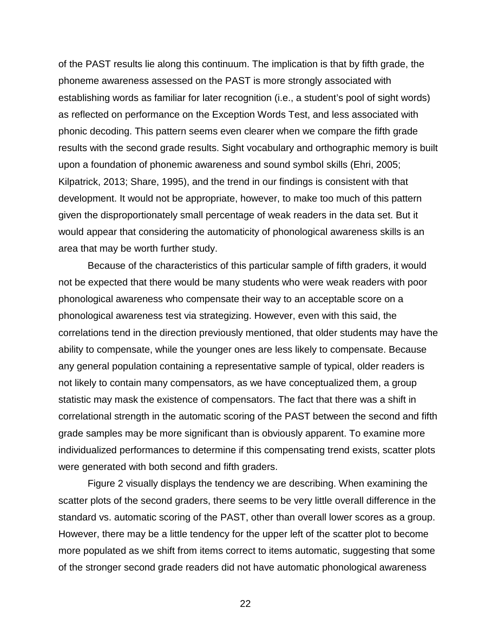of the PAST results lie along this continuum. The implication is that by fifth grade, the phoneme awareness assessed on the PAST is more strongly associated with establishing words as familiar for later recognition (i.e., a student's pool of sight words) as reflected on performance on the Exception Words Test, and less associated with phonic decoding. This pattern seems even clearer when we compare the fifth grade results with the second grade results. Sight vocabulary and orthographic memory is built upon a foundation of phonemic awareness and sound symbol skills (Ehri, 2005; Kilpatrick, 2013; Share, 1995), and the trend in our findings is consistent with that development. It would not be appropriate, however, to make too much of this pattern given the disproportionately small percentage of weak readers in the data set. But it would appear that considering the automaticity of phonological awareness skills is an area that may be worth further study.

Because of the characteristics of this particular sample of fifth graders, it would not be expected that there would be many students who were weak readers with poor phonological awareness who compensate their way to an acceptable score on a phonological awareness test via strategizing. However, even with this said, the correlations tend in the direction previously mentioned, that older students may have the ability to compensate, while the younger ones are less likely to compensate. Because any general population containing a representative sample of typical, older readers is not likely to contain many compensators, as we have conceptualized them, a group statistic may mask the existence of compensators. The fact that there was a shift in correlational strength in the automatic scoring of the PAST between the second and fifth grade samples may be more significant than is obviously apparent. To examine more individualized performances to determine if this compensating trend exists, scatter plots were generated with both second and fifth graders.

Figure 2 visually displays the tendency we are describing. When examining the scatter plots of the second graders, there seems to be very little overall difference in the standard vs. automatic scoring of the PAST, other than overall lower scores as a group. However, there may be a little tendency for the upper left of the scatter plot to become more populated as we shift from items correct to items automatic, suggesting that some of the stronger second grade readers did not have automatic phonological awareness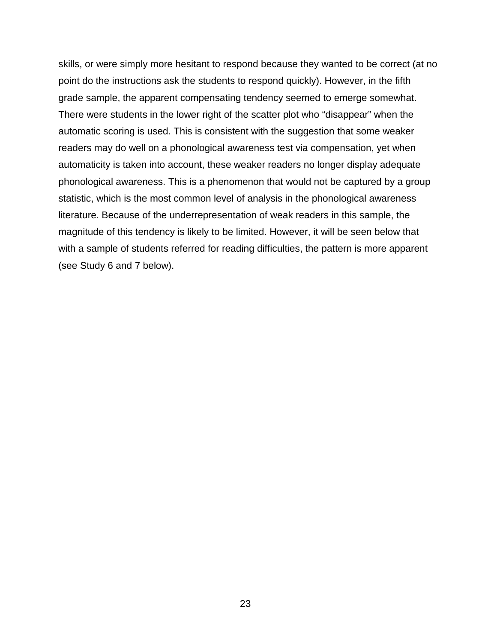skills, or were simply more hesitant to respond because they wanted to be correct (at no point do the instructions ask the students to respond quickly). However, in the fifth grade sample, the apparent compensating tendency seemed to emerge somewhat. There were students in the lower right of the scatter plot who "disappear" when the automatic scoring is used. This is consistent with the suggestion that some weaker readers may do well on a phonological awareness test via compensation, yet when automaticity is taken into account, these weaker readers no longer display adequate phonological awareness. This is a phenomenon that would not be captured by a group statistic, which is the most common level of analysis in the phonological awareness literature. Because of the underrepresentation of weak readers in this sample, the magnitude of this tendency is likely to be limited. However, it will be seen below that with a sample of students referred for reading difficulties, the pattern is more apparent (see Study 6 and 7 below).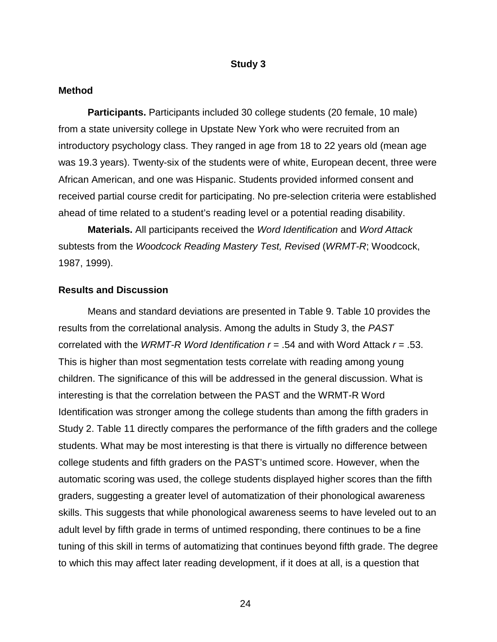#### **Study 3**

#### **Method**

**Participants.** Participants included 30 college students (20 female, 10 male) from a state university college in Upstate New York who were recruited from an introductory psychology class. They ranged in age from 18 to 22 years old (mean age was 19.3 years). Twenty-six of the students were of white, European decent, three were African American, and one was Hispanic. Students provided informed consent and received partial course credit for participating. No pre-selection criteria were established ahead of time related to a student's reading level or a potential reading disability.

**Materials.** All participants received the *Word Identification* and *Word Attack* subtests from the *Woodcock Reading Mastery Test, Revised* (*WRMT-R*; Woodcock, 1987, 1999).

#### **Results and Discussion**

Means and standard deviations are presented in Table 9. Table 10 provides the results from the correlational analysis. Among the adults in Study 3, the *PAST* correlated with the *WRMT-R Word Identification r* = .54 and with Word Attack *r* = .53. This is higher than most segmentation tests correlate with reading among young children. The significance of this will be addressed in the general discussion. What is interesting is that the correlation between the PAST and the WRMT-R Word Identification was stronger among the college students than among the fifth graders in Study 2. Table 11 directly compares the performance of the fifth graders and the college students. What may be most interesting is that there is virtually no difference between college students and fifth graders on the PAST's untimed score. However, when the automatic scoring was used, the college students displayed higher scores than the fifth graders, suggesting a greater level of automatization of their phonological awareness skills. This suggests that while phonological awareness seems to have leveled out to an adult level by fifth grade in terms of untimed responding, there continues to be a fine tuning of this skill in terms of automatizing that continues beyond fifth grade. The degree to which this may affect later reading development, if it does at all, is a question that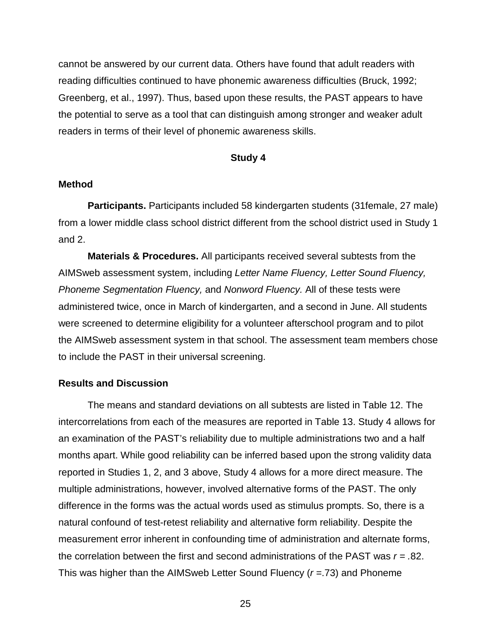cannot be answered by our current data. Others have found that adult readers with reading difficulties continued to have phonemic awareness difficulties (Bruck, 1992; Greenberg, et al., 1997). Thus, based upon these results, the PAST appears to have the potential to serve as a tool that can distinguish among stronger and weaker adult readers in terms of their level of phonemic awareness skills.

#### **Study 4**

#### **Method**

**Participants.** Participants included 58 kindergarten students (31female, 27 male) from a lower middle class school district different from the school district used in Study 1 and 2.

**Materials & Procedures.** All participants received several subtests from the AIMSweb assessment system, including *Letter Name Fluency, Letter Sound Fluency, Phoneme Segmentation Fluency,* and *Nonword Fluency.* All of these tests were administered twice, once in March of kindergarten, and a second in June. All students were screened to determine eligibility for a volunteer afterschool program and to pilot the AIMSweb assessment system in that school. The assessment team members chose to include the PAST in their universal screening.

#### **Results and Discussion**

The means and standard deviations on all subtests are listed in Table 12. The intercorrelations from each of the measures are reported in Table 13. Study 4 allows for an examination of the PAST's reliability due to multiple administrations two and a half months apart. While good reliability can be inferred based upon the strong validity data reported in Studies 1, 2, and 3 above, Study 4 allows for a more direct measure. The multiple administrations, however, involved alternative forms of the PAST. The only difference in the forms was the actual words used as stimulus prompts. So, there is a natural confound of test-retest reliability and alternative form reliability. Despite the measurement error inherent in confounding time of administration and alternate forms, the correlation between the first and second administrations of the PAST was *r = .*82. This was higher than the AIMSweb Letter Sound Fluency (*r =*.73) and Phoneme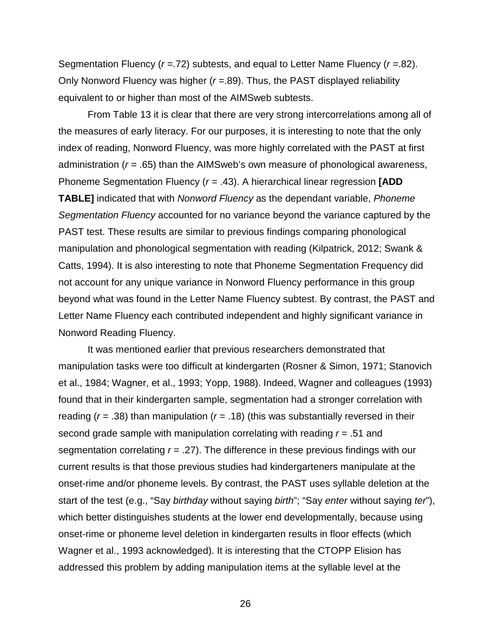Segmentation Fluency (*r =*.72) subtests, and equal to Letter Name Fluency (*r =*.82). Only Nonword Fluency was higher (*r =*.89). Thus, the PAST displayed reliability equivalent to or higher than most of the AIMSweb subtests.

From Table 13 it is clear that there are very strong intercorrelations among all of the measures of early literacy. For our purposes, it is interesting to note that the only index of reading, Nonword Fluency, was more highly correlated with the PAST at first administration (*r =* .65) than the AIMSweb's own measure of phonological awareness, Phoneme Segmentation Fluency (*r =* .43). A hierarchical linear regression **[ADD TABLE]** indicated that with *Nonword Fluency* as the dependant variable, *Phoneme Segmentation Fluency* accounted for no variance beyond the variance captured by the PAST test. These results are similar to previous findings comparing phonological manipulation and phonological segmentation with reading (Kilpatrick, 2012; Swank & Catts, 1994). It is also interesting to note that Phoneme Segmentation Frequency did not account for any unique variance in Nonword Fluency performance in this group beyond what was found in the Letter Name Fluency subtest. By contrast, the PAST and Letter Name Fluency each contributed independent and highly significant variance in Nonword Reading Fluency.

It was mentioned earlier that previous researchers demonstrated that manipulation tasks were too difficult at kindergarten (Rosner & Simon, 1971; Stanovich et al., 1984; Wagner, et al., 1993; Yopp, 1988). Indeed, Wagner and colleagues (1993) found that in their kindergarten sample, segmentation had a stronger correlation with reading (*r* = .38) than manipulation (*r* = .18) (this was substantially reversed in their second grade sample with manipulation correlating with reading *r* = .51 and segmentation correlating *r* = .27). The difference in these previous findings with our current results is that those previous studies had kindergarteners manipulate at the onset-rime and/or phoneme levels. By contrast, the PAST uses syllable deletion at the start of the test (e.g., "Say *birthday* without saying *birth*"; "Say *enter* without saying *ter*"), which better distinguishes students at the lower end developmentally, because using onset-rime or phoneme level deletion in kindergarten results in floor effects (which Wagner et al., 1993 acknowledged). It is interesting that the CTOPP Elision has addressed this problem by adding manipulation items at the syllable level at the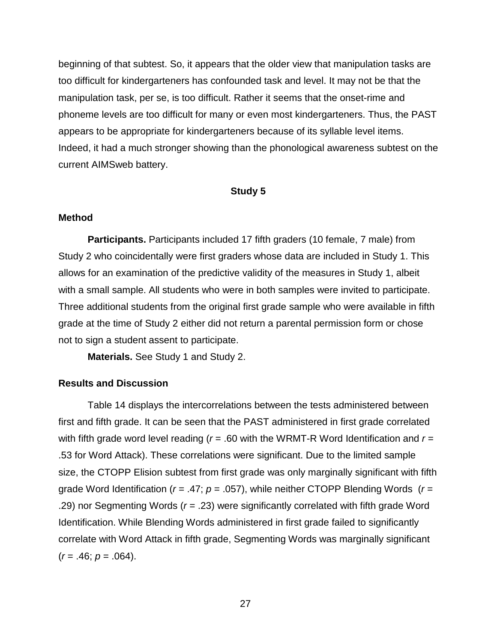beginning of that subtest. So, it appears that the older view that manipulation tasks are too difficult for kindergarteners has confounded task and level. It may not be that the manipulation task, per se, is too difficult. Rather it seems that the onset-rime and phoneme levels are too difficult for many or even most kindergarteners. Thus, the PAST appears to be appropriate for kindergarteners because of its syllable level items. Indeed, it had a much stronger showing than the phonological awareness subtest on the current AIMSweb battery.

#### **Study 5**

#### **Method**

**Participants.** Participants included 17 fifth graders (10 female, 7 male) from Study 2 who coincidentally were first graders whose data are included in Study 1. This allows for an examination of the predictive validity of the measures in Study 1, albeit with a small sample. All students who were in both samples were invited to participate. Three additional students from the original first grade sample who were available in fifth grade at the time of Study 2 either did not return a parental permission form or chose not to sign a student assent to participate.

**Materials.** See Study 1 and Study 2.

## **Results and Discussion**

Table 14 displays the intercorrelations between the tests administered between first and fifth grade. It can be seen that the PAST administered in first grade correlated with fifth grade word level reading ( $r = .60$  with the WRMT-R Word Identification and  $r =$ .53 for Word Attack). These correlations were significant. Due to the limited sample size, the CTOPP Elision subtest from first grade was only marginally significant with fifth grade Word Identification (*r* = .47; *p* = .057), while neither CTOPP Blending Words (*r* = .29) nor Segmenting Words (*r* = .23) were significantly correlated with fifth grade Word Identification. While Blending Words administered in first grade failed to significantly correlate with Word Attack in fifth grade, Segmenting Words was marginally significant  $(r = .46; p = .064)$ .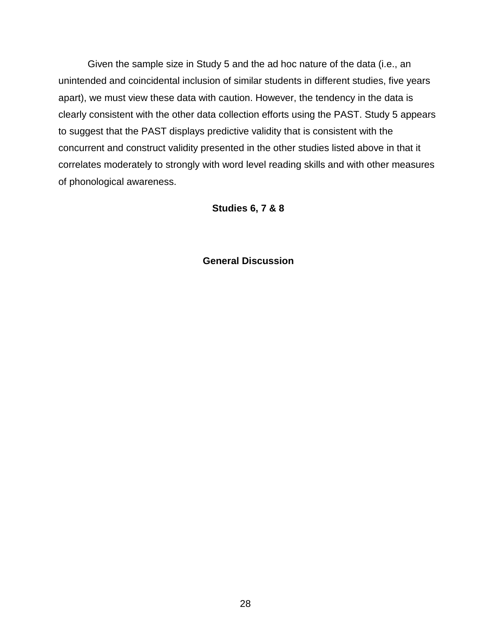Given the sample size in Study 5 and the ad hoc nature of the data (i.e., an unintended and coincidental inclusion of similar students in different studies, five years apart), we must view these data with caution. However, the tendency in the data is clearly consistent with the other data collection efforts using the PAST. Study 5 appears to suggest that the PAST displays predictive validity that is consistent with the concurrent and construct validity presented in the other studies listed above in that it correlates moderately to strongly with word level reading skills and with other measures of phonological awareness.

#### **Studies 6, 7 & 8**

**General Discussion**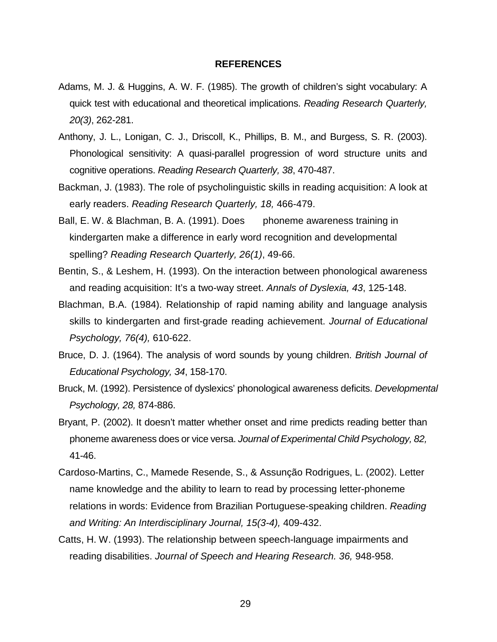#### **REFERENCES**

- Adams, M. J. & Huggins, A. W. F. (1985). The growth of children's sight vocabulary: A quick test with educational and theoretical implications. *Reading Research Quarterly, 20(3)*, 262-281.
- Anthony, J. L., Lonigan, C. J., Driscoll, K., Phillips, B. M., and Burgess, S. R. (2003). Phonological sensitivity: A quasi-parallel progression of word structure units and cognitive operations. *Reading Research Quarterly, 38*, 470-487.
- Backman, J. (1983). The role of psycholinguistic skills in reading acquisition: A look at early readers. *Reading Research Quarterly, 18,* 466-479.
- Ball, E. W. & Blachman, B. A. (1991). Does phoneme awareness training in kindergarten make a difference in early word recognition and developmental spelling? *Reading Research Quarterly, 26(1)*, 49-66.
- Bentin, S., & Leshem, H. (1993). On the interaction between phonological awareness and reading acquisition: It's a two-way street. *Annals of Dyslexia, 43*, 125-148.
- Blachman, B.A. (1984). Relationship of rapid naming ability and language analysis skills to kindergarten and first-grade reading achievement. *Journal of Educational Psychology, 76(4),* 610-622.
- Bruce, D. J. (1964). The analysis of word sounds by young children. *British Journal of Educational Psychology, 34*, 158-170.
- Bruck, M. (1992). Persistence of dyslexics' phonological awareness deficits. *Developmental Psychology, 28,* 874-886.
- Bryant, P. (2002). It doesn't matter whether onset and rime predicts reading better than phoneme awareness does or vice versa. *Journal of Experimental Child Psychology, 82,* 41-46.
- Cardoso-Martins, C., Mamede Resende, S., & Assunção Rodrigues, L. (2002). Letter name knowledge and the ability to learn to read by processing letter-phoneme relations in words: Evidence from Brazilian Portuguese-speaking children. *Reading and Writing: An Interdisciplinary Journal, 15(3-4),* 409-432.
- Catts, H. W. (1993). The relationship between speech-language impairments and reading disabilities. *Journal of Speech and Hearing Research. 36,* 948-958.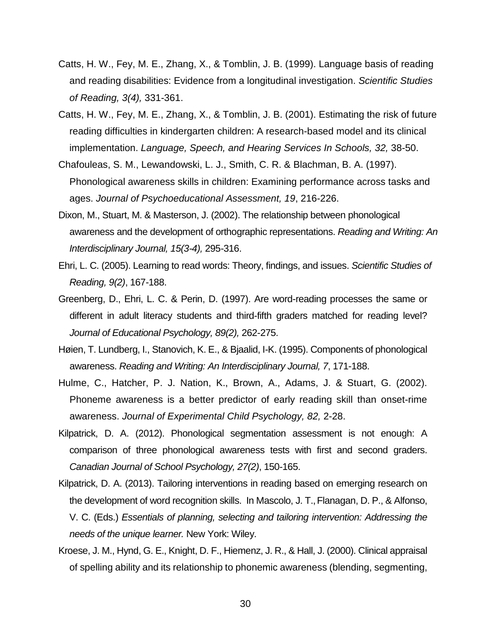- Catts, H. W., Fey, M. E., Zhang, X., & Tomblin, J. B. (1999). Language basis of reading and reading disabilities: Evidence from a longitudinal investigation. *Scientific Studies of Reading, 3(4),* 331-361.
- Catts, H. W., Fey, M. E., Zhang, X., & Tomblin, J. B. (2001). Estimating the risk of future reading difficulties in kindergarten children: A research-based model and its clinical implementation. *Language, Speech, and Hearing Services In Schools, 32,* 38-50.
- Chafouleas, S. M., Lewandowski, L. J., Smith, C. R. & Blachman, B. A. (1997). Phonological awareness skills in children: Examining performance across tasks and ages. *Journal of Psychoeducational Assessment, 19*, 216-226.
- Dixon, M., Stuart, M. & Masterson, J. (2002). The relationship between phonological awareness and the development of orthographic representations. *Reading and Writing: An Interdisciplinary Journal, 15(3-4),* 295-316.
- Ehri, L. C. (2005). Learning to read words: Theory, findings, and issues. *Scientific Studies of Reading, 9(2)*, 167-188.
- Greenberg, D., Ehri, L. C. & Perin, D. (1997). Are word-reading processes the same or different in adult literacy students and third-fifth graders matched for reading level? *Journal of Educational Psychology, 89(2),* 262-275.
- Høien, T. Lundberg, I., Stanovich, K. E., & Bjaalid, I-K. (1995). Components of phonological awareness. *Reading and Writing: An Interdisciplinary Journal, 7*, 171-188.
- Hulme, C., Hatcher, P. J. Nation, K., Brown, A., Adams, J. & Stuart, G. (2002). Phoneme awareness is a better predictor of early reading skill than onset-rime awareness. *Journal of Experimental Child Psychology, 82,* 2-28.
- Kilpatrick, D. A. (2012). Phonological segmentation assessment is not enough: A comparison of three phonological awareness tests with first and second graders. *Canadian Journal of School Psychology, 27(2)*, 150-165.
- Kilpatrick, D. A. (2013). Tailoring interventions in reading based on emerging research on the development of word recognition skills. In Mascolo, J. T.,Flanagan, D. P., & Alfonso, V. C. (Eds.) *Essentials of planning, selecting and tailoring intervention: Addressing the needs of the unique learner.* New York: Wiley.
- Kroese, J. M., Hynd, G. E., Knight, D. F., Hiemenz, J. R., & Hall, J. (2000). Clinical appraisal of spelling ability and its relationship to phonemic awareness (blending, segmenting,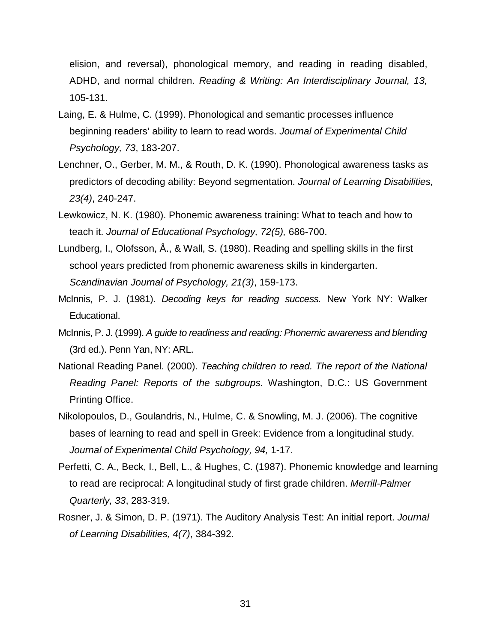elision, and reversal), phonological memory, and reading in reading disabled, ADHD, and normal children. *Reading & Writing: An Interdisciplinary Journal, 13,*  105-131.

- Laing, E. & Hulme, C. (1999). Phonological and semantic processes influence beginning readers' ability to learn to read words. *Journal of Experimental Child Psychology, 73*, 183-207.
- Lenchner, O., Gerber, M. M., & Routh, D. K. (1990). Phonological awareness tasks as predictors of decoding ability: Beyond segmentation. *Journal of Learning Disabilities, 23(4)*, 240-247.
- Lewkowicz, N. K. (1980). Phonemic awareness training: What to teach and how to teach it. *Journal of Educational Psychology, 72(5),* 686-700.
- Lundberg, I., Olofsson, Å., & Wall, S. (1980). Reading and spelling skills in the first school years predicted from phonemic awareness skills in kindergarten. *Scandinavian Journal of Psychology, 21(3)*, 159-173.
- McInnis, P. J. (1981). *Decoding keys for reading success.* New York NY: Walker Educational.
- McInnis, P. J. (1999). *A guide to readiness and reading: Phonemic awareness and blending* (3rd ed.). Penn Yan, NY: ARL.
- National Reading Panel. (2000). *Teaching children to read. The report of the National Reading Panel: Reports of the subgroups.* Washington, D.C.: US Government Printing Office.
- Nikolopoulos, D., Goulandris, N., Hulme, C. & Snowling, M. J. (2006). The cognitive bases of learning to read and spell in Greek: Evidence from a longitudinal study. *Journal of Experimental Child Psychology, 94,* 1-17.
- Perfetti, C. A., Beck, I., Bell, L., & Hughes, C. (1987). Phonemic knowledge and learning to read are reciprocal: A longitudinal study of first grade children. *Merrill-Palmer Quarterly, 33*, 283-319.
- Rosner, J. & Simon, D. P. (1971). The Auditory Analysis Test: An initial report. *Journal of Learning Disabilities, 4(7)*, 384-392.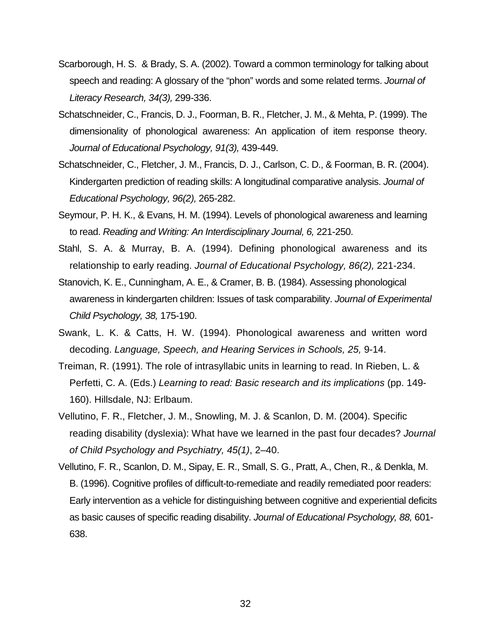- Scarborough, H. S. & Brady, S. A. (2002). Toward a common terminology for talking about speech and reading: A glossary of the "phon" words and some related terms. *Journal of Literacy Research, 34(3),* 299-336.
- Schatschneider, C., Francis, D. J., Foorman, B. R., Fletcher, J. M., & Mehta, P. (1999). The dimensionality of phonological awareness: An application of item response theory. *Journal of Educational Psychology, 91(3),* 439-449.
- Schatschneider, C., Fletcher, J. M., Francis, D. J., Carlson, C. D., & Foorman, B. R. (2004). Kindergarten prediction of reading skills: A longitudinal comparative analysis. *Journal of Educational Psychology, 96(2),* 265-282.
- Seymour, P. H. K., & Evans, H. M. (1994). Levels of phonological awareness and learning to read. *Reading and Writing: An Interdisciplinary Journal, 6,* 221-250.
- Stahl, S. A. & Murray, B. A. (1994). Defining phonological awareness and its relationship to early reading. *Journal of Educational Psychology, 86(2),* 221-234.
- Stanovich, K. E., Cunningham, A. E., & Cramer, B. B. (1984). Assessing phonological awareness in kindergarten children: Issues of task comparability. *Journal of Experimental Child Psychology, 38,* 175-190.
- Swank, L. K. & Catts, H. W. (1994). Phonological awareness and written word decoding. *Language, Speech, and Hearing Services in Schools, 25,* 9-14.
- Treiman, R. (1991). The role of intrasyllabic units in learning to read. In Rieben, L. & Perfetti, C. A. (Eds.) *Learning to read: Basic research and its implications* (pp. 149- 160). Hillsdale, NJ: Erlbaum.
- Vellutino, F. R., Fletcher, J. M., Snowling, M. J. & Scanlon, D. M. (2004). Specific reading disability (dyslexia): What have we learned in the past four decades? *Journal of Child Psychology and Psychiatry, 45(1)*, 2–40.
- Vellutino, F. R., Scanlon, D. M., Sipay, E. R., Small, S. G., Pratt, A., Chen, R., & Denkla, M. B. (1996). Cognitive profiles of difficult-to-remediate and readily remediated poor readers: Early intervention as a vehicle for distinguishing between cognitive and experiential deficits as basic causes of specific reading disability. *Journal of Educational Psychology, 88,* 601- 638.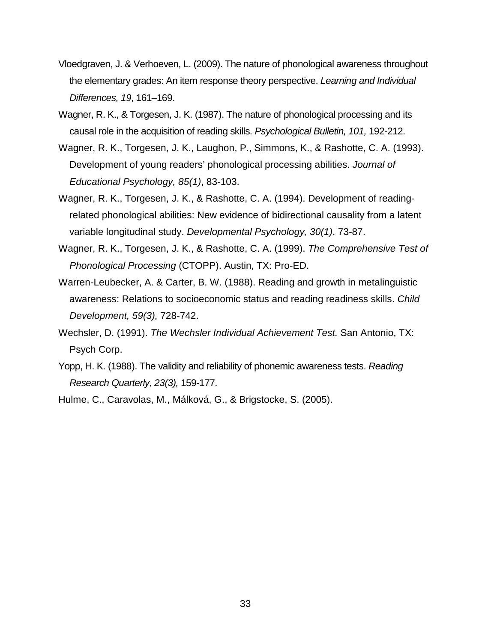- Vloedgraven, J. & Verhoeven, L. (2009). The nature of phonological awareness throughout the elementary grades: An item response theory perspective. *Learning and Individual Differences, 19*, 161–169.
- Wagner, R. K., & Torgesen, J. K. (1987). The nature of phonological processing and its causal role in the acquisition of reading skills. *Psychological Bulletin, 101,* 192-212.
- Wagner, R. K., Torgesen, J. K., Laughon, P., Simmons, K., & Rashotte, C. A. (1993). Development of young readers' phonological processing abilities. *Journal of Educational Psychology, 85(1)*, 83-103.
- Wagner, R. K., Torgesen, J. K., & Rashotte, C. A. (1994). Development of readingrelated phonological abilities: New evidence of bidirectional causality from a latent variable longitudinal study. *Developmental Psychology, 30(1)*, 73-87.
- Wagner, R. K., Torgesen, J. K., & Rashotte, C. A. (1999). *The Comprehensive Test of Phonological Processing* (CTOPP). Austin, TX: Pro-ED.
- Warren-Leubecker, A. & Carter, B. W. (1988). Reading and growth in metalinguistic awareness: Relations to socioeconomic status and reading readiness skills. *Child Development, 59(3),* 728-742.
- Wechsler, D. (1991). *The Wechsler Individual Achievement Test.* San Antonio, TX: Psych Corp.
- Yopp, H. K. (1988). The validity and reliability of phonemic awareness tests. *Reading Research Quarterly, 23(3),* 159-177.
- Hulme, C., Caravolas, M., Málková, G., & Brigstocke, S. (2005).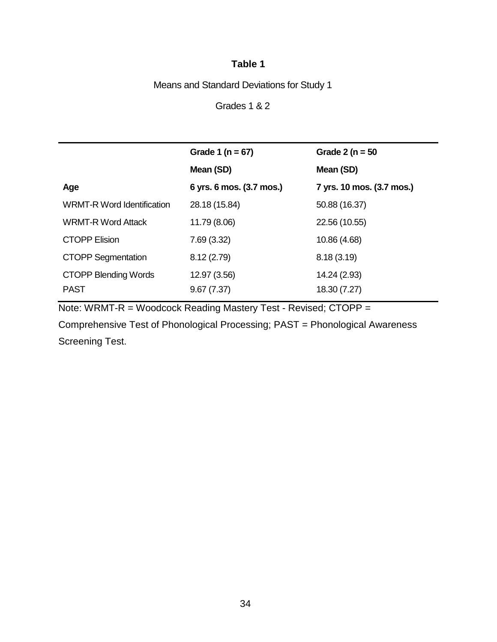Means and Standard Deviations for Study 1

Grades 1 & 2

|                                   | Grade 1 ( $n = 67$ )     | Grade 2 ( $n = 50$        |
|-----------------------------------|--------------------------|---------------------------|
|                                   | Mean (SD)                | Mean (SD)                 |
| Age                               | 6 yrs. 6 mos. (3.7 mos.) | 7 yrs. 10 mos. (3.7 mos.) |
| <b>WRMT-R Word Identification</b> | 28.18 (15.84)            | 50.88 (16.37)             |
| <b>WRMT-R Word Attack</b>         | 11.79 (8.06)             | 22.56 (10.55)             |
| <b>CTOPP Elision</b>              | 7.69(3.32)               | 10.86 (4.68)              |
| <b>CTOPP Segmentation</b>         | 8.12(2.79)               | 8.18(3.19)                |
| <b>CTOPP Blending Words</b>       | 12.97 (3.56)             | 14.24 (2.93)              |
| <b>PAST</b>                       | 9.67(7.37)               | 18.30 (7.27)              |

Note: WRMT-R = Woodcock Reading Mastery Test - Revised; CTOPP =

Comprehensive Test of Phonological Processing; PAST = Phonological Awareness Screening Test.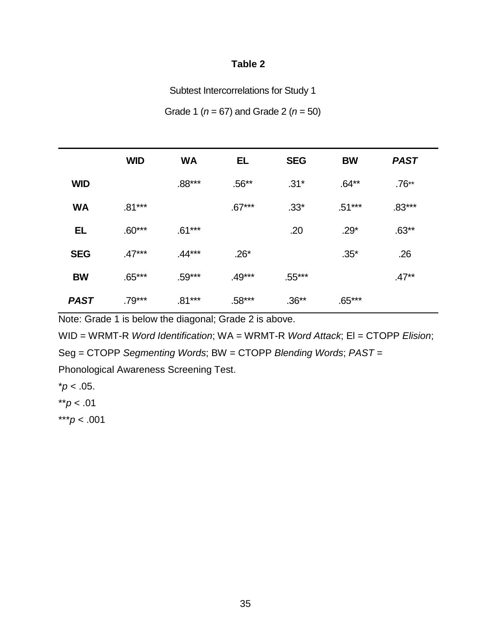Subtest Intercorrelations for Study 1

Grade 1 (*n* = 67) and Grade 2 (*n* = 50)

|             | <b>WID</b> | <b>WA</b> | <b>EL</b> | <b>SEG</b> | <b>BW</b> | <b>PAST</b> |
|-------------|------------|-----------|-----------|------------|-----------|-------------|
| <b>WID</b>  |            | $.88***$  | $.56**$   | $.31*$     | $.64**$   | $.76**$     |
| <b>WA</b>   | $.81***$   |           | $.67***$  | $.33*$     | $.51***$  | $.83***$    |
| <b>EL</b>   | $.60***$   | $.61***$  |           | .20        | $.29*$    | $.63**$     |
| <b>SEG</b>  | $.47***$   | $.44***$  | $.26*$    |            | $.35*$    | .26         |
| <b>BW</b>   | $.65***$   | $.59***$  | $.49***$  | $.55***$   |           | $.47**$     |
| <b>PAST</b> | $.79***$   | $.81***$  | $.58***$  | $.36**$    | $.65***$  |             |

Note: Grade 1 is below the diagonal; Grade 2 is above.

WID = WRMT-R *Word Identification*; WA = WRMT-R *Word Attack*; El = CTOPP *Elision*;

Seg = CTOPP *Segmenting Words*; BW = CTOPP *Blending Words*; *PAST* =

Phonological Awareness Screening Test.

 $*p < .05$ .

\*\**p* < .01

\*\*\**p* < .001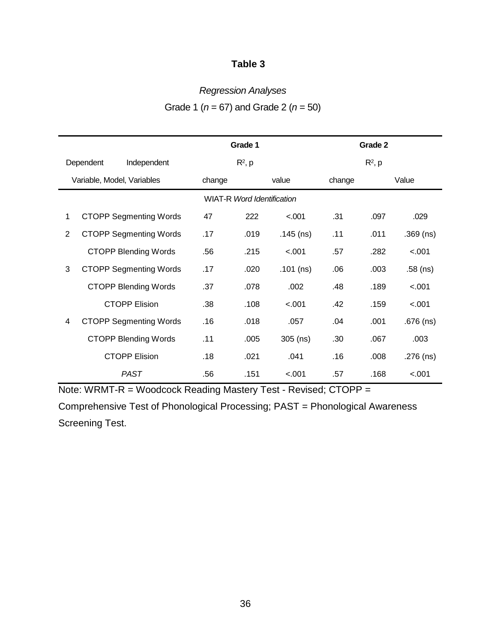## *Regression Analyses*

| Grade 1 ( $n = 67$ ) and Grade 2 ( $n = 50$ ) |  |  |
|-----------------------------------------------|--|--|
|-----------------------------------------------|--|--|

|   |                               |                                   | Grade 1   |             |        | Grade 2   |             |
|---|-------------------------------|-----------------------------------|-----------|-------------|--------|-----------|-------------|
|   | Dependent<br>Independent      |                                   | $R^2$ , p |             |        | $R^2$ , p |             |
|   | Variable, Model, Variables    | change                            |           | value       | change |           | Value       |
|   |                               | <b>WIAT-R Word Identification</b> |           |             |        |           |             |
| 1 | <b>CTOPP Segmenting Words</b> | 47                                | 222       | $-.001$     | .31    | .097      | .029        |
| 2 | <b>CTOPP Segmenting Words</b> | .17                               | .019      | $.145$ (ns) | .11    | .011      | $.369$ (ns) |
|   | <b>CTOPP Blending Words</b>   | .56                               | .215      | < .001      | .57    | .282      | < .001      |
| 3 | <b>CTOPP Segmenting Words</b> | .17                               | .020      | $.101$ (ns) | .06    | .003      | $.58$ (ns)  |
|   | <b>CTOPP Blending Words</b>   | .37                               | .078      | .002        | .48    | .189      | < .001      |
|   | <b>CTOPP Elision</b>          | .38                               | .108      | < .001      | .42    | .159      | < .001      |
| 4 | <b>CTOPP Segmenting Words</b> | .16                               | .018      | .057        | .04    | .001      | $.676$ (ns) |
|   | <b>CTOPP Blending Words</b>   | .11                               | .005      | $305$ (ns)  | .30    | .067      | .003        |
|   | <b>CTOPP Elision</b>          | .18                               | .021      | .041        | .16    | .008      | $.276$ (ns) |
|   | <b>PAST</b>                   | .56                               | .151      | < .001      | .57    | .168      | < .001      |

Note: WRMT-R = Woodcock Reading Mastery Test - Revised; CTOPP =

Comprehensive Test of Phonological Processing; PAST = Phonological Awareness Screening Test.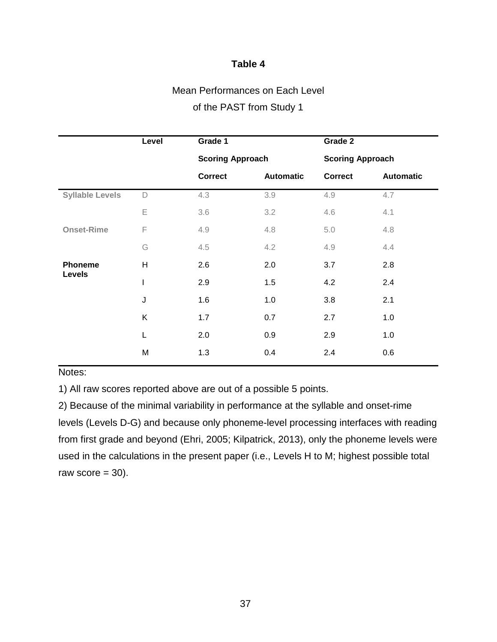# Mean Performances on Each Level

## of the PAST from Study 1

|                        | Level       | Grade 1                 |                  | Grade 2                 |                  |  |
|------------------------|-------------|-------------------------|------------------|-------------------------|------------------|--|
|                        |             | <b>Scoring Approach</b> |                  | <b>Scoring Approach</b> |                  |  |
|                        |             | <b>Correct</b>          | <b>Automatic</b> | <b>Correct</b>          | <b>Automatic</b> |  |
| <b>Syllable Levels</b> | $\mathsf D$ | 4.3                     | 3.9              | 4.9                     | 4.7              |  |
|                        | E           | 3.6                     | 3.2              | 4.6                     | 4.1              |  |
| <b>Onset-Rime</b>      | F           | 4.9                     | 4.8              | 5.0                     | 4.8              |  |
|                        | G           | 4.5                     | 4.2              | 4.9                     | 4.4              |  |
| <b>Phoneme</b>         | H           | 2.6                     | 2.0              | 3.7                     | 2.8              |  |
| Levels                 | I           | 2.9                     | 1.5              | 4.2                     | 2.4              |  |
|                        | J           | 1.6                     | 1.0              | 3.8                     | 2.1              |  |
|                        | K           | 1.7                     | 0.7              | 2.7                     | 1.0              |  |
|                        | L           | 2.0                     | 0.9              | 2.9                     | 1.0              |  |
|                        | M           | 1.3                     | 0.4              | 2.4                     | 0.6              |  |
|                        |             |                         |                  |                         |                  |  |

## Notes:

1) All raw scores reported above are out of a possible 5 points.

2) Because of the minimal variability in performance at the syllable and onset-rime levels (Levels D-G) and because only phoneme-level processing interfaces with reading from first grade and beyond (Ehri, 2005; Kilpatrick, 2013), only the phoneme levels were used in the calculations in the present paper (i.e., Levels H to M; highest possible total raw score  $= 30$ ).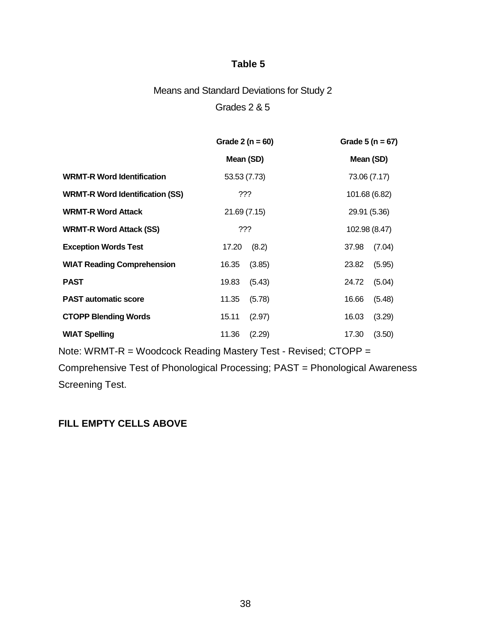# Means and Standard Deviations for Study 2 Grades 2 & 5

|                                        | Grade $2(n = 60)$ | Grade $5(n = 67)$ |  |  |
|----------------------------------------|-------------------|-------------------|--|--|
|                                        | Mean (SD)         | Mean (SD)         |  |  |
| <b>WRMT-R Word Identification</b>      | 53.53 (7.73)      | 73.06 (7.17)      |  |  |
| <b>WRMT-R Word Identification (SS)</b> | ???               | 101.68 (6.82)     |  |  |
| <b>WRMT-R Word Attack</b>              | 21.69(7.15)       | 29.91 (5.36)      |  |  |
| <b>WRMT-R Word Attack (SS)</b>         | ???               | 102.98 (8.47)     |  |  |
| <b>Exception Words Test</b>            | (8.2)<br>17.20    | (7.04)<br>37.98   |  |  |
| <b>WIAT Reading Comprehension</b>      | 16.35<br>(3.85)   | 23.82<br>(5.95)   |  |  |
| <b>PAST</b>                            | (5.43)<br>19.83   | (5.04)<br>24.72   |  |  |
| <b>PAST automatic score</b>            | 11.35<br>(5.78)   | (5.48)<br>16.66   |  |  |
| <b>CTOPP Blending Words</b>            | 15.11<br>(2.97)   | (3.29)<br>16.03   |  |  |
| <b>WIAT Spelling</b>                   | 11.36<br>(2.29)   | 17.30<br>(3.50)   |  |  |

Note: WRMT-R = Woodcock Reading Mastery Test - Revised; CTOPP =

Comprehensive Test of Phonological Processing; PAST = Phonological Awareness Screening Test.

## **FILL EMPTY CELLS ABOVE**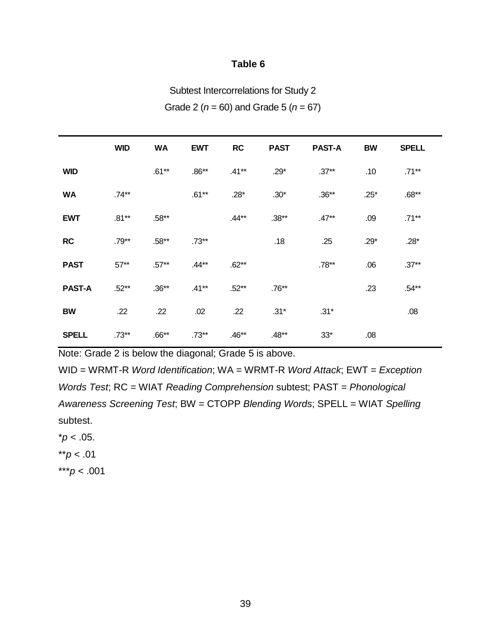Subtest Intercorrelations for Study 2

Grade 2 (*n* = 60) and Grade 5 (*n* = 67)

|               | <b>WID</b> | <b>WA</b> | <b>EWT</b> | <b>RC</b> | <b>PAST</b> | <b>PAST-A</b> | <b>BW</b> | <b>SPELL</b> |
|---------------|------------|-----------|------------|-----------|-------------|---------------|-----------|--------------|
| <b>WID</b>    |            | $.61***$  | $.86**$    | $.41**$   | $.29*$      | $.37**$       | .10       | $.71***$     |
| <b>WA</b>     | $.74**$    |           | $.61***$   | $.28*$    | $.30*$      | $.36**$       | $.25*$    | $.68**$      |
| <b>EWT</b>    | $.81***$   | $.58**$   |            | $.44**$   | $.38**$     | $.47**$       | .09       | $.71***$     |
| <b>RC</b>     | $.79**$    | $.58**$   | $.73**$    |           | .18         | .25           | $.29*$    | $.28*$       |
| <b>PAST</b>   | $57**$     | $.57**$   | $.44**$    | $.62**$   |             | $.78**$       | .06       | $.37**$      |
| <b>PAST-A</b> | $.52**$    | $.36**$   | $.41**$    | $.52**$   | $.76**$     |               | .23       | $.54**$      |
| <b>BW</b>     | .22        | .22       | .02        | .22       | $.31*$      | $.31*$        |           | .08          |
| <b>SPELL</b>  | $.73**$    | $.66**$   | $.73**$    | $.46**$   | $.48**$     | $33*$         | .08       |              |

Note: Grade 2 is below the diagonal; Grade 5 is above.

WID = WRMT-R *Word Identification*; WA = WRMT-R *Word Attack*; EWT = *Exception Words Test*; RC = WIAT *Reading Comprehension* subtest; PAST = *Phonological Awareness Screening Test*; BW = CTOPP *Blending Words*; SPELL = WIAT *Spelling* subtest.

 $*p < .05$ .

\*\**p* < .01

\*\*\**p* < .001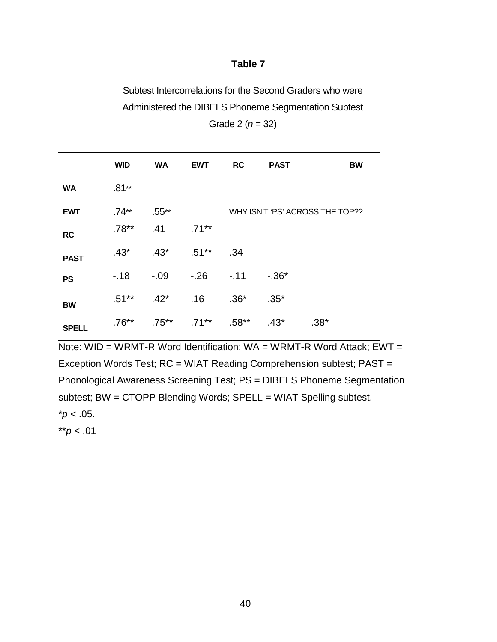Subtest Intercorrelations for the Second Graders who were Administered the DIBELS Phoneme Segmentation Subtest

| <b>WID</b><br><b>WA</b><br><b>RC</b><br><b>PAST</b><br><b>EWT</b><br>BW<br>$.81**$<br><b>WA</b><br>WHY ISN'T 'PS' ACROSS THE TOP??<br>.74**<br>.55**<br><b>EWT</b><br>$.78**$<br>.41<br>$.71***$<br><b>RC</b><br>$.43*$<br>$.51***$<br>$.43*$<br>.34<br><b>PAST</b><br>-.09<br>-.26 -.11<br>$-.18$<br>$-.36*$<br><b>PS</b><br>$.51**$<br>$.42^*$<br>$.36*$<br>.16<br>$.35*$<br><b>BW</b><br>$.71***$<br>$.58**$<br>$.76**$<br>$.75***$<br>$.43*$<br>$.38*$<br><b>SPELL</b> |  |  |  |  |
|----------------------------------------------------------------------------------------------------------------------------------------------------------------------------------------------------------------------------------------------------------------------------------------------------------------------------------------------------------------------------------------------------------------------------------------------------------------------------|--|--|--|--|
|                                                                                                                                                                                                                                                                                                                                                                                                                                                                            |  |  |  |  |
|                                                                                                                                                                                                                                                                                                                                                                                                                                                                            |  |  |  |  |
|                                                                                                                                                                                                                                                                                                                                                                                                                                                                            |  |  |  |  |
|                                                                                                                                                                                                                                                                                                                                                                                                                                                                            |  |  |  |  |
|                                                                                                                                                                                                                                                                                                                                                                                                                                                                            |  |  |  |  |
|                                                                                                                                                                                                                                                                                                                                                                                                                                                                            |  |  |  |  |
|                                                                                                                                                                                                                                                                                                                                                                                                                                                                            |  |  |  |  |
|                                                                                                                                                                                                                                                                                                                                                                                                                                                                            |  |  |  |  |

Grade 2 (*n* = 32)

Note: WID = WRMT-R Word Identification;  $WA = WRMT-R$  Word Attack;  $EWT =$ Exception Words Test; RC = WIAT Reading Comprehension subtest; PAST = Phonological Awareness Screening Test; PS = DIBELS Phoneme Segmentation subtest; BW = CTOPP Blending Words; SPELL = WIAT Spelling subtest.  $*p < .05$ .

\*\**p* < .01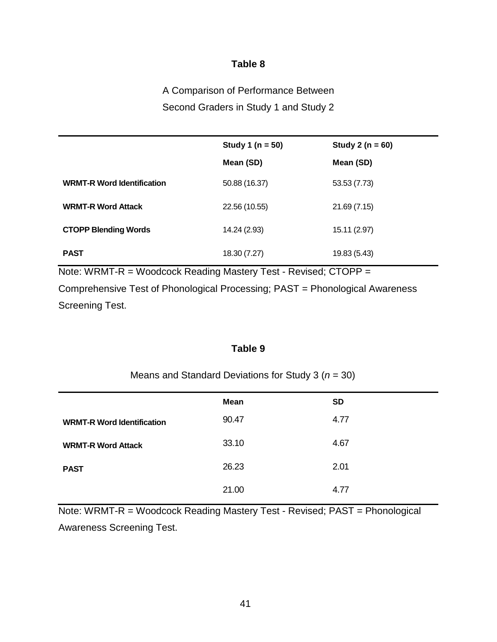A Comparison of Performance Between Second Graders in Study 1 and Study 2

|                                   | Study 1 ( $n = 50$ ) | Study 2 ( $n = 60$ ) |
|-----------------------------------|----------------------|----------------------|
|                                   | Mean (SD)            | Mean (SD)            |
| <b>WRMT-R Word Identification</b> | 50.88 (16.37)        | 53.53 (7.73)         |
| <b>WRMT-R Word Attack</b>         | 22.56 (10.55)        | 21.69(7.15)          |
| <b>CTOPP Blending Words</b>       | 14.24 (2.93)         | 15.11 (2.97)         |
| <b>PAST</b>                       | 18.30 (7.27)         | 19.83 (5.43)         |

Note: WRMT-R = Woodcock Reading Mastery Test - Revised; CTOPP =

Comprehensive Test of Phonological Processing; PAST = Phonological Awareness Screening Test.

## **Table 9**

## Means and Standard Deviations for Study 3 (*n* = 30)

| Mean  | <b>SD</b> |
|-------|-----------|
| 90.47 | 4.77      |
| 33.10 | 4.67      |
| 26.23 | 2.01      |
| 21.00 | 4.77      |
|       |           |

Note: WRMT-R = Woodcock Reading Mastery Test - Revised; PAST = Phonological Awareness Screening Test.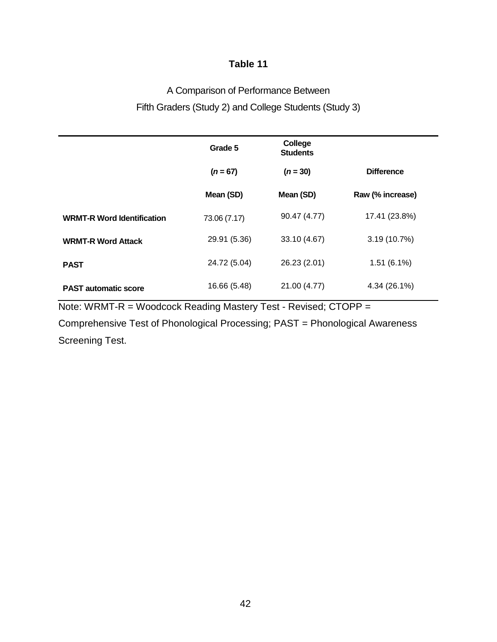## A Comparison of Performance Between Fifth Graders (Study 2) and College Students (Study 3)

|                                   | Grade 5      | College<br><b>Students</b> |                   |
|-----------------------------------|--------------|----------------------------|-------------------|
|                                   | $(n = 67)$   | $(n = 30)$                 | <b>Difference</b> |
|                                   | Mean (SD)    | Mean (SD)                  | Raw (% increase)  |
| <b>WRMT-R Word Identification</b> | 73.06 (7.17) | 90.47 (4.77)               | 17.41 (23.8%)     |
| <b>WRMT-R Word Attack</b>         | 29.91 (5.36) | 33.10 (4.67)               | 3.19(10.7%)       |
| <b>PAST</b>                       | 24.72 (5.04) | 26.23 (2.01)               | $1.51(6.1\%)$     |
| <b>PAST</b> automatic score       | 16.66 (5.48) | 21.00 (4.77)               | 4.34 (26.1%)      |

Note: WRMT-R = Woodcock Reading Mastery Test - Revised; CTOPP =

Comprehensive Test of Phonological Processing; PAST = Phonological Awareness Screening Test.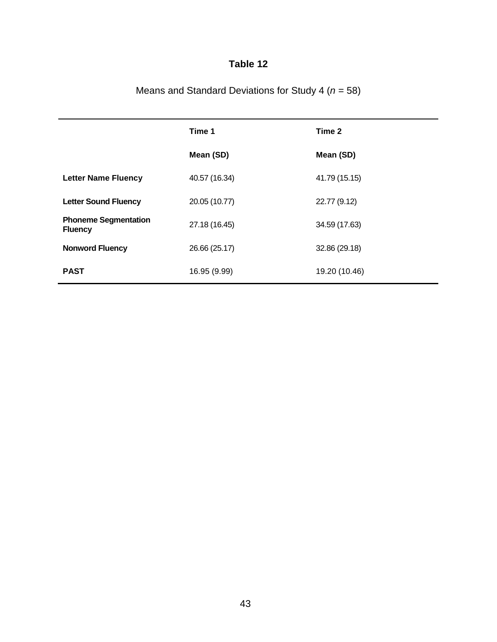|                                               | Time 1        | Time 2        |
|-----------------------------------------------|---------------|---------------|
|                                               | Mean (SD)     | Mean (SD)     |
| <b>Letter Name Fluency</b>                    | 40.57 (16.34) | 41.79 (15.15) |
| <b>Letter Sound Fluency</b>                   | 20.05 (10.77) | 22.77 (9.12)  |
| <b>Phoneme Segmentation</b><br><b>Fluency</b> | 27.18 (16.45) | 34.59 (17.63) |
| <b>Nonword Fluency</b>                        | 26.66 (25.17) | 32.86 (29.18) |
| <b>PAST</b>                                   | 16.95 (9.99)  | 19.20 (10.46) |

Means and Standard Deviations for Study 4 (*n* = 58)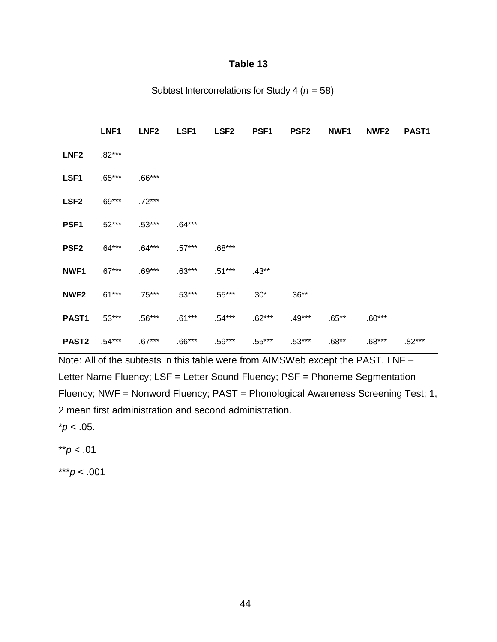|                   | LNF1     | LNF <sub>2</sub> | LSF1     | LSF <sub>2</sub> | PSF <sub>1</sub> | <b>PSF2</b> | NWF <sub>1</sub> | NWF <sub>2</sub> | PAST <sub>1</sub> |
|-------------------|----------|------------------|----------|------------------|------------------|-------------|------------------|------------------|-------------------|
| LNF <sub>2</sub>  | $.82***$ |                  |          |                  |                  |             |                  |                  |                   |
| LSF1              | $.65***$ | $.66***$         |          |                  |                  |             |                  |                  |                   |
| LSF <sub>2</sub>  | $.69***$ | $.72***$         |          |                  |                  |             |                  |                  |                   |
| PSF <sub>1</sub>  | $.52***$ | $.53***$         | $.64***$ |                  |                  |             |                  |                  |                   |
| PSF <sub>2</sub>  | $.64***$ | $.64***$         | $.57***$ | $.68***$         |                  |             |                  |                  |                   |
| NWF1              | $.67***$ | $.69***$         | $.63***$ | $.51***$         | $.43**$          |             |                  |                  |                   |
| NWF <sub>2</sub>  | $.61***$ | $.75***$         | $.53***$ | $.55***$         | $.30*$           | $.36**$     |                  |                  |                   |
| PAST <sub>1</sub> | $.53***$ | $.56***$         | $.61***$ | .54***           | $.62***$         | $.49***$    | $.65***$         | $.60***$         |                   |
| <b>PAST2</b>      | $.54***$ | $.67***$         | $.66***$ | $.59***$         | $.55***$         | $.53***$    | $.68**$          | $.68***$         | $.82***$          |

Note: All of the subtests in this table were from AIMSWeb except the PAST. LNF – Letter Name Fluency; LSF = Letter Sound Fluency; PSF = Phoneme Segmentation Fluency; NWF = Nonword Fluency; PAST = Phonological Awareness Screening Test; 1, 2 mean first administration and second administration.

 $*p < .05$ .

\*\**p* < .01

\*\*\**p* < .001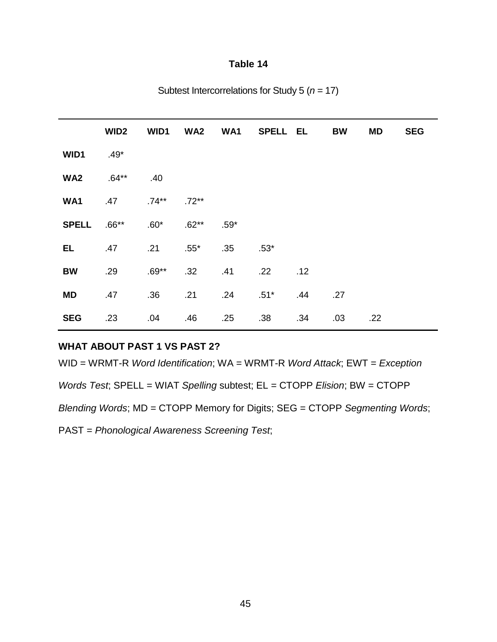|                 | WID <sub>2</sub> | WID1     | WA <sub>2</sub> |        | WA1 SPELL EL     |     | <b>BW</b> | MD  | <b>SEG</b> |
|-----------------|------------------|----------|-----------------|--------|------------------|-----|-----------|-----|------------|
| WID1            | $.49*$           |          |                 |        |                  |     |           |     |            |
| WA <sub>2</sub> | $.64**$          | .40      |                 |        |                  |     |           |     |            |
| WA1             | .47              | $.74***$ | $.72**$         |        |                  |     |           |     |            |
| <b>SPELL</b>    | $.66***$         | $.60*$   | $.62**$         | $.59*$ |                  |     |           |     |            |
| EL.             | .47              | .21      | $.55*$          | .35    | $.53*$           |     |           |     |            |
| <b>BW</b>       | .29              | $.69**$  | .32             | .41    | .22              | .12 |           |     |            |
| <b>MD</b>       | .47              | .36      | .21             | .24    | $.51*$           | .44 | .27       |     |            |
| <b>SEG</b>      | .23              | .04      | .46             | .25    | .38 <sub>0</sub> | .34 | .03       | .22 |            |

Subtest Intercorrelations for Study 5 (*n* = 17)

## **WHAT ABOUT PAST 1 VS PAST 2?**

WID = WRMT-R *Word Identification*; WA = WRMT-R *Word Attack*; EWT = *Exception* 

*Words Test*; SPELL = WIAT *Spelling* subtest; EL = CTOPP *Elision*; BW = CTOPP

*Blending Words*; MD = CTOPP Memory for Digits; SEG = CTOPP *Segmenting Words*;

PAST = *Phonological Awareness Screening Test*;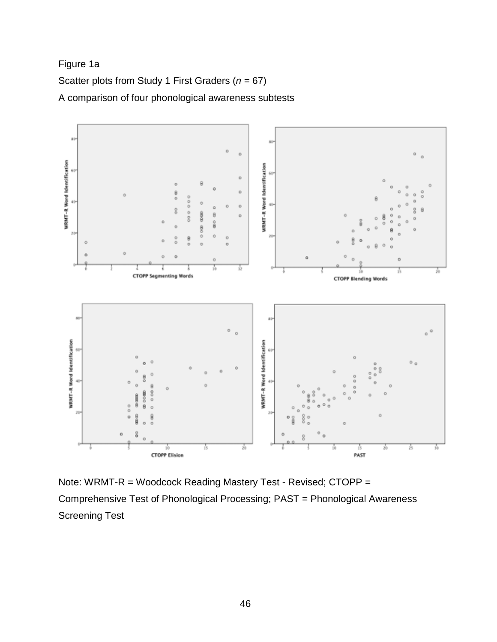Figure 1a

Scatter plots from Study 1 First Graders (*n* = 67) A comparison of four phonological awareness subtests



Note: WRMT-R = Woodcock Reading Mastery Test - Revised; CTOPP = Comprehensive Test of Phonological Processing; PAST = Phonological Awareness Screening Test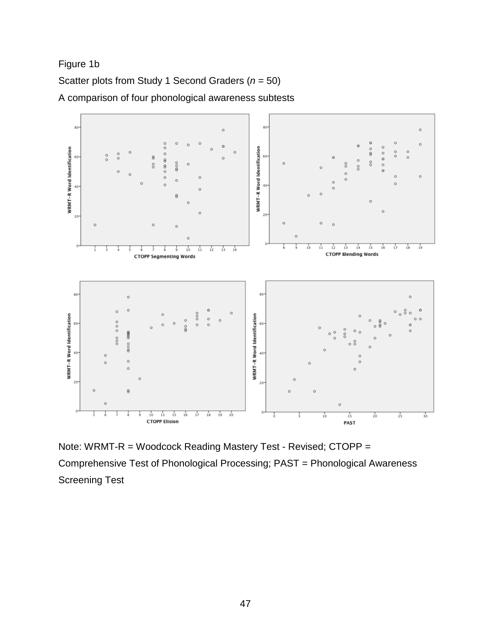Figure 1b





Note: WRMT-R = Woodcock Reading Mastery Test - Revised; CTOPP = Comprehensive Test of Phonological Processing; PAST = Phonological Awareness Screening Test